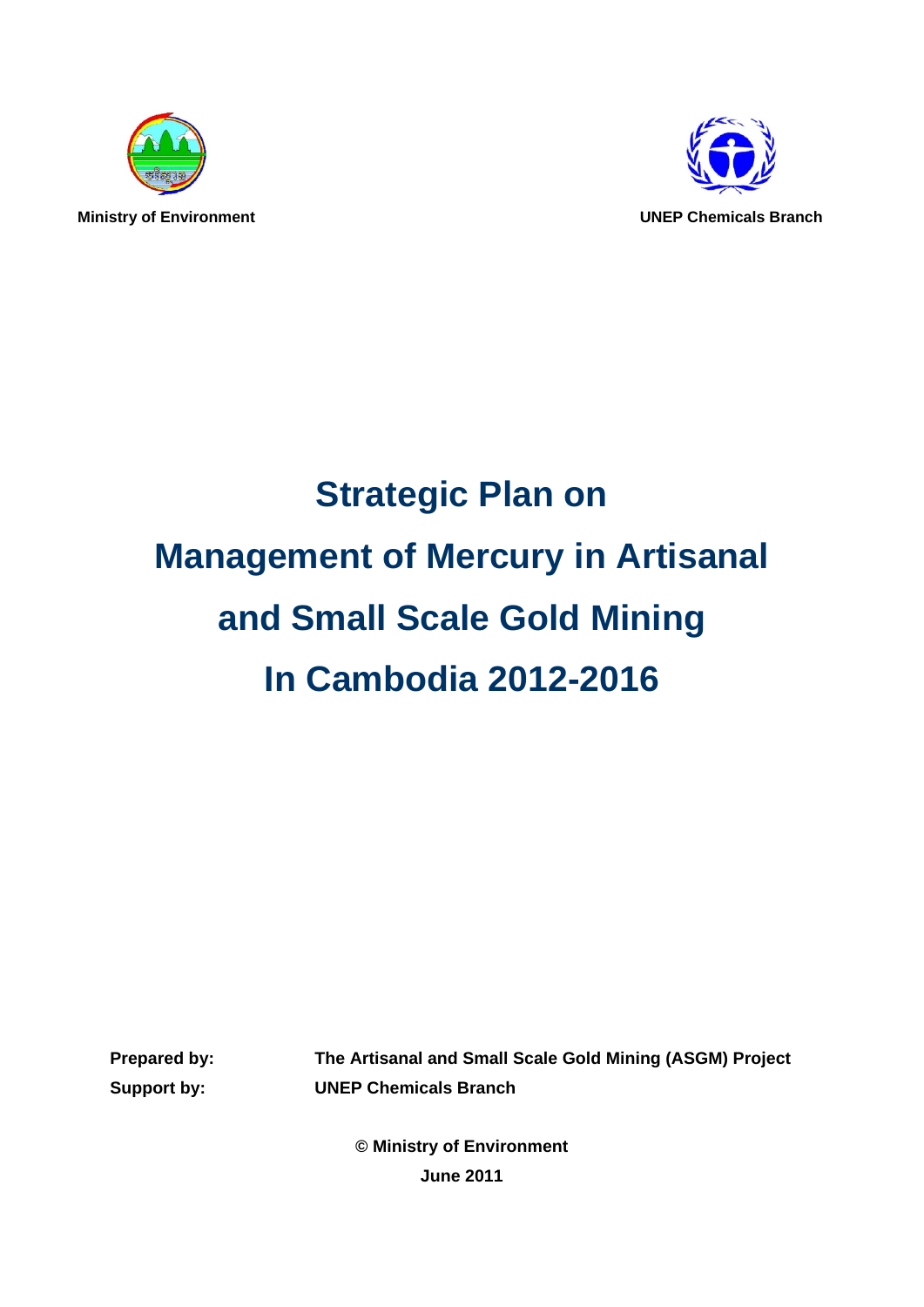



# **Strategic Plan on Management of Mercury in Artisanal and Small Scale Gold Mining In Cambodia 2012-2016**

**Prepared by: The Artisanal and Small Scale Gold Mining (ASGM) Project Support by: UNEP Chemicals Branch** 

> **© Ministry of Environment June 2011**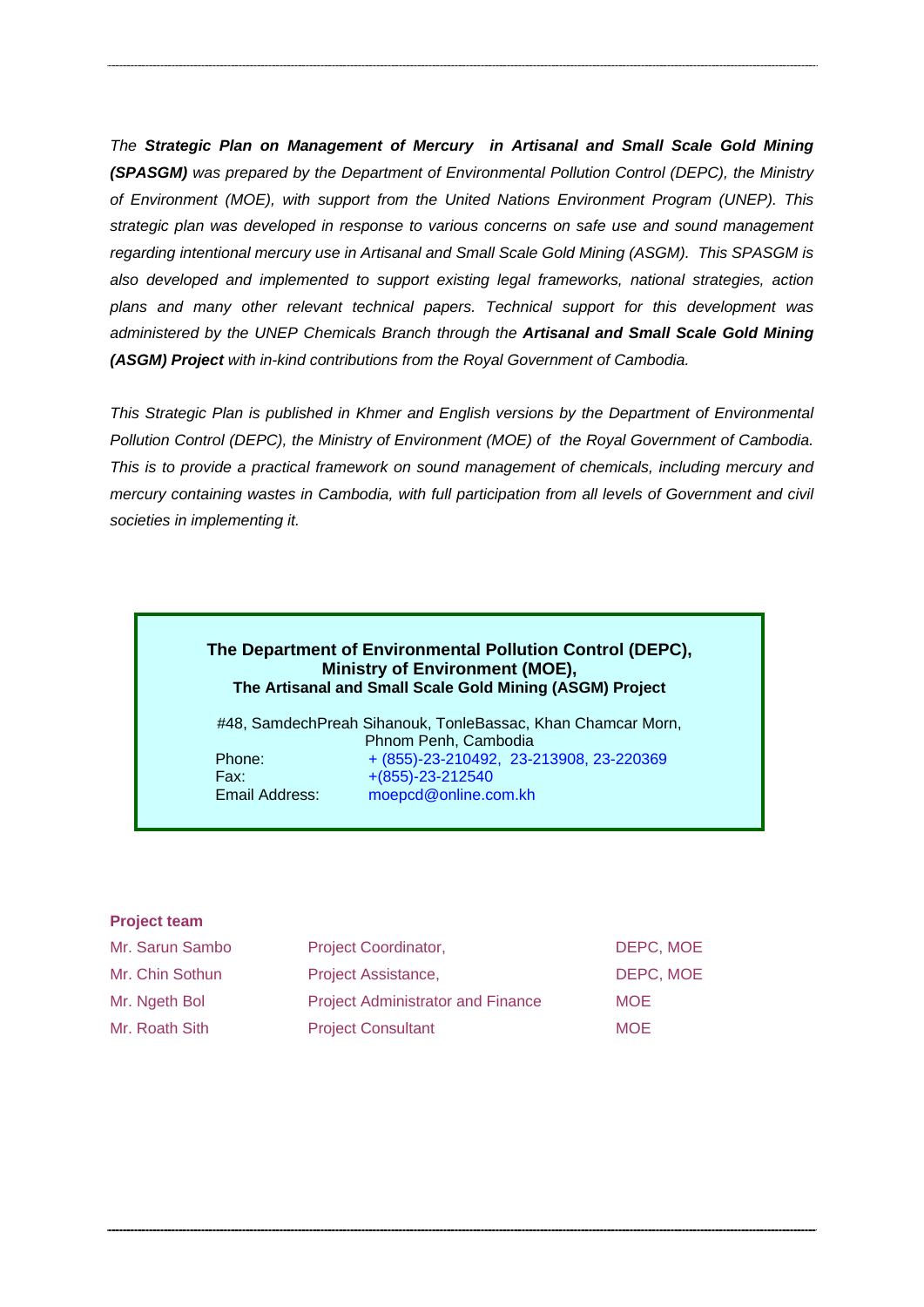*The Strategic Plan on Management of Mercury in Artisanal and Small Scale Gold Mining (SPASGM) was prepared by the Department of Environmental Pollution Control (DEPC), the Ministry of Environment (MOE), with support from the United Nations Environment Program (UNEP). This strategic plan was developed in response to various concerns on safe use and sound management regarding intentional mercury use in Artisanal and Small Scale Gold Mining (ASGM). This SPASGM is also developed and implemented to support existing legal frameworks, national strategies, action plans and many other relevant technical papers. Technical support for this development was administered by the UNEP Chemicals Branch through the Artisanal and Small Scale Gold Mining (ASGM) Project with in-kind contributions from the Royal Government of Cambodia.* 

*This Strategic Plan is published in Khmer and English versions by the Department of Environmental Pollution Control (DEPC), the Ministry of Environment (MOE) of the Royal Government of Cambodia. This is to provide a practical framework on sound management of chemicals, including mercury and mercury containing wastes in Cambodia, with full participation from all levels of Government and civil societies in implementing it.* 

#### **The Department of Environmental Pollution Control (DEPC), Ministry of Environment (MOE), The Artisanal and Small Scale Gold Mining (ASGM) Project**

#48, SamdechPreah Sihanouk, TonleBassac, Khan Chamcar Morn, Phnom Penh, Cambodia Phone: + (855)-23-210492, 23-213908, 23-220369 Fax: +(855)-23-212540 Email Address: moepcd@online.com.kh

#### **Project team**

| Mr. Sarun Sambo | Project Coordinator,                     | DEPC, MOE  |
|-----------------|------------------------------------------|------------|
| Mr. Chin Sothun | Project Assistance,                      | DEPC, MOE  |
| Mr. Ngeth Bol   | <b>Project Administrator and Finance</b> | <b>MOE</b> |
| Mr. Roath Sith  | <b>Project Consultant</b>                | <b>MOE</b> |
|                 |                                          |            |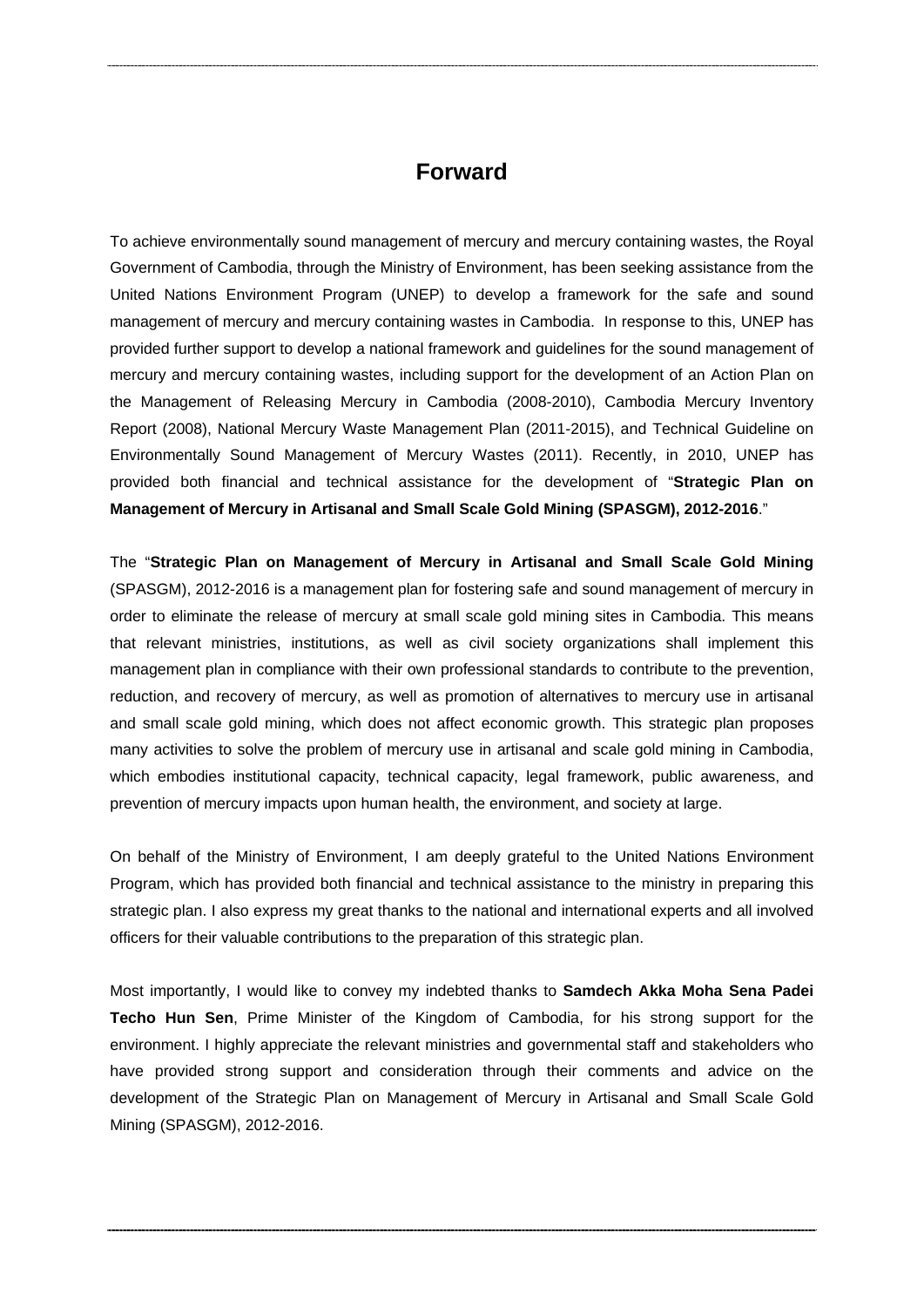#### **Forward**

To achieve environmentally sound management of mercury and mercury containing wastes, the Royal Government of Cambodia, through the Ministry of Environment, has been seeking assistance from the United Nations Environment Program (UNEP) to develop a framework for the safe and sound management of mercury and mercury containing wastes in Cambodia. In response to this, UNEP has provided further support to develop a national framework and guidelines for the sound management of mercury and mercury containing wastes, including support for the development of an Action Plan on the Management of Releasing Mercury in Cambodia (2008-2010), Cambodia Mercury Inventory Report (2008), National Mercury Waste Management Plan (2011-2015), and Technical Guideline on Environmentally Sound Management of Mercury Wastes (2011). Recently, in 2010, UNEP has provided both financial and technical assistance for the development of "**Strategic Plan on Management of Mercury in Artisanal and Small Scale Gold Mining (SPASGM), 2012-2016**."

The "**Strategic Plan on Management of Mercury in Artisanal and Small Scale Gold Mining** (SPASGM), 2012-2016 is a management plan for fostering safe and sound management of mercury in order to eliminate the release of mercury at small scale gold mining sites in Cambodia. This means that relevant ministries, institutions, as well as civil society organizations shall implement this management plan in compliance with their own professional standards to contribute to the prevention, reduction, and recovery of mercury, as well as promotion of alternatives to mercury use in artisanal and small scale gold mining, which does not affect economic growth. This strategic plan proposes many activities to solve the problem of mercury use in artisanal and scale gold mining in Cambodia, which embodies institutional capacity, technical capacity, legal framework, public awareness, and prevention of mercury impacts upon human health, the environment, and society at large.

On behalf of the Ministry of Environment, I am deeply grateful to the United Nations Environment Program, which has provided both financial and technical assistance to the ministry in preparing this strategic plan. I also express my great thanks to the national and international experts and all involved officers for their valuable contributions to the preparation of this strategic plan.

Most importantly, I would like to convey my indebted thanks to **Samdech Akka Moha Sena Padei Techo Hun Sen**, Prime Minister of the Kingdom of Cambodia, for his strong support for the environment. I highly appreciate the relevant ministries and governmental staff and stakeholders who have provided strong support and consideration through their comments and advice on the development of the Strategic Plan on Management of Mercury in Artisanal and Small Scale Gold Mining (SPASGM), 2012-2016.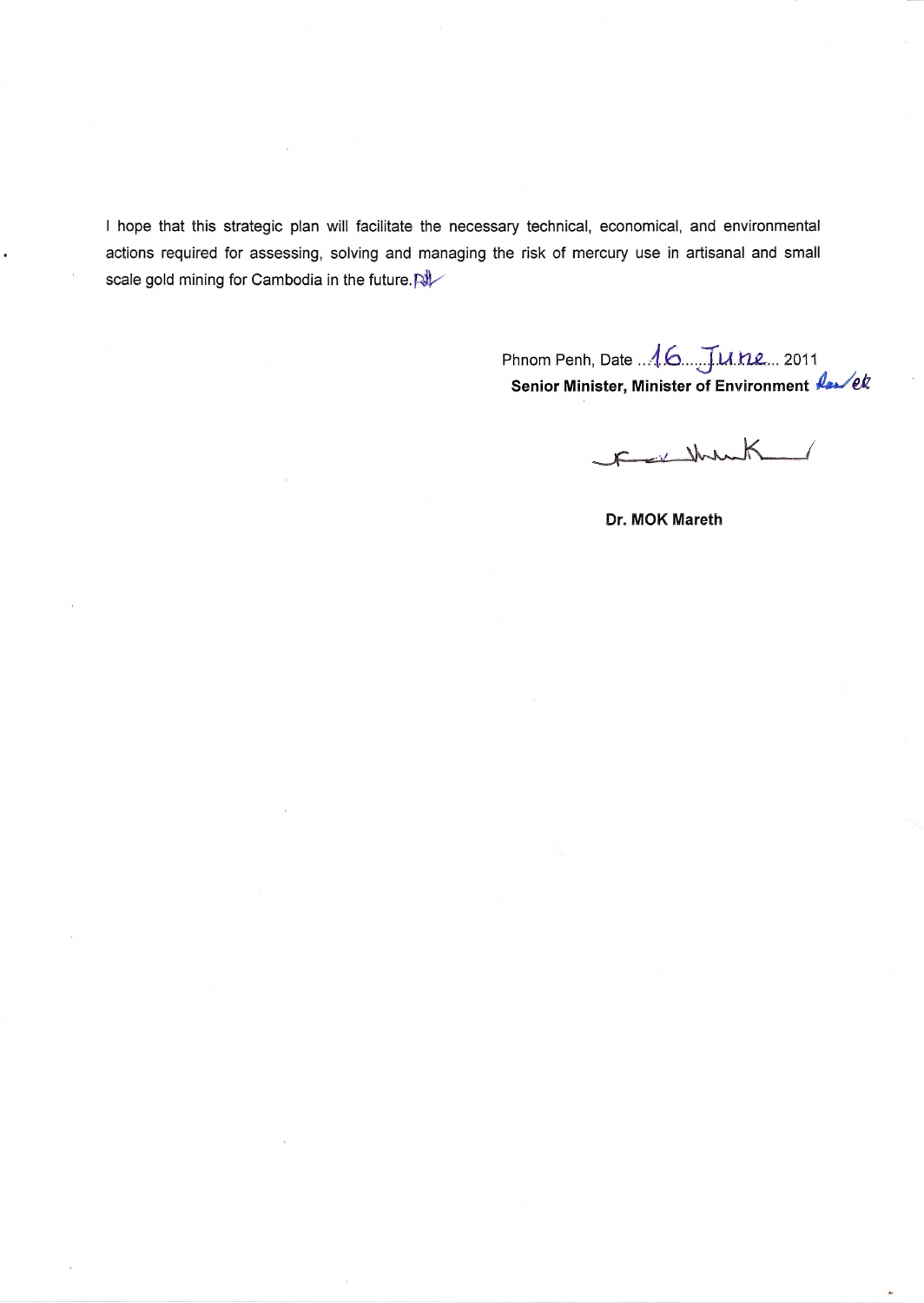I hope that this strategic plan will facilitate the necessary technical, economical, and environmental actions required for assessing, solving and managing the risk of mercury use in artisanal and small scale gold mining for Cambodia in the future.

> Phnom Penh, Date ..*A.6 ...J.u ..n..e...<sup>2011</sup>* **Senior Minister, Minister of Environment** *4.J€it*

Faitheast

Dr. MOK Mareth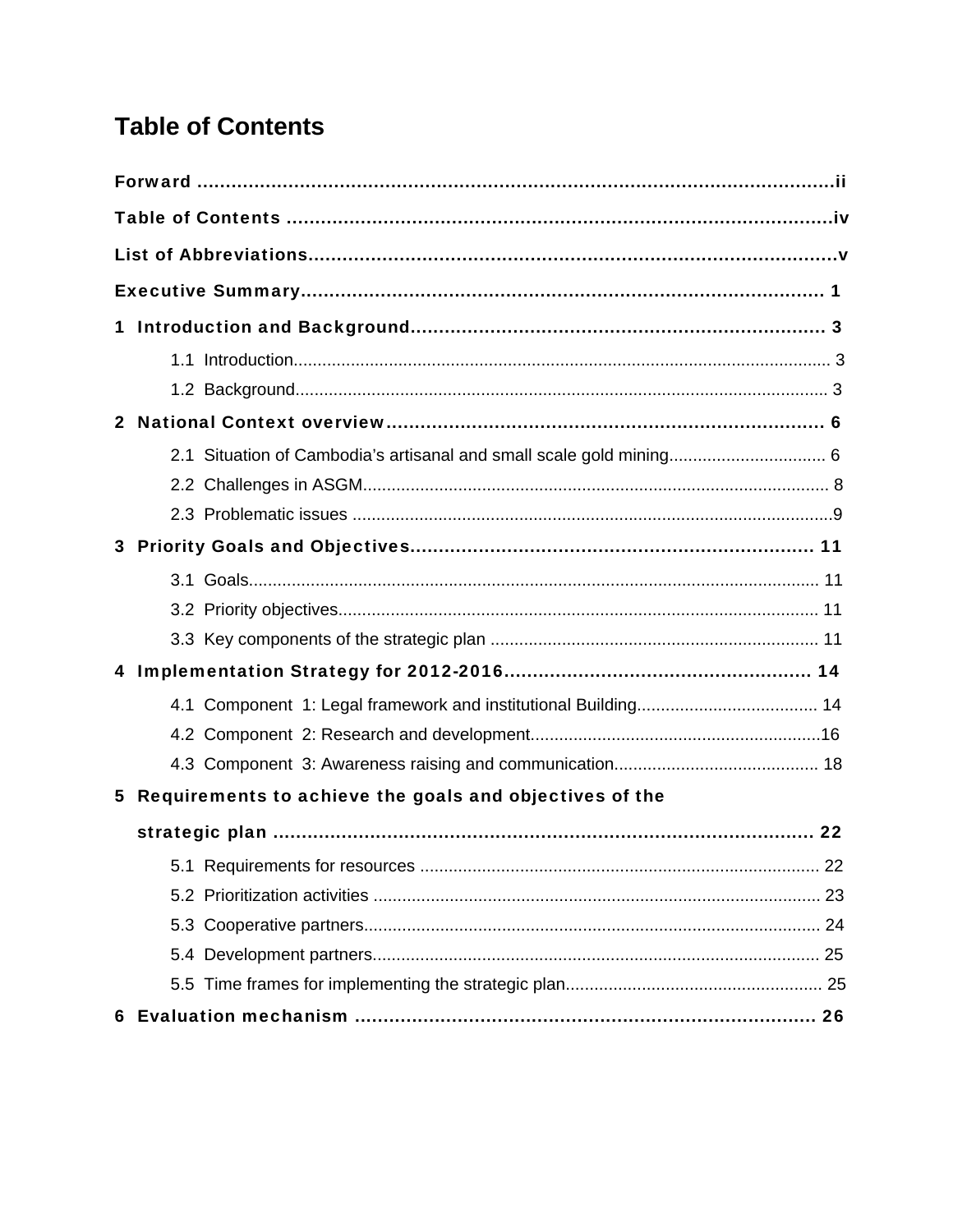# <span id="page-4-0"></span>**Table of Contents**

| 1            |                                                           |    |
|--------------|-----------------------------------------------------------|----|
|              |                                                           |    |
|              |                                                           |    |
| $\mathbf{2}$ |                                                           |    |
|              |                                                           |    |
|              |                                                           |    |
|              |                                                           |    |
|              |                                                           |    |
|              |                                                           |    |
|              |                                                           |    |
|              |                                                           |    |
|              |                                                           |    |
|              |                                                           |    |
|              |                                                           |    |
|              |                                                           |    |
|              | 5 Requirements to achieve the goals and objectives of the |    |
|              |                                                           | 22 |
|              |                                                           |    |
|              |                                                           |    |
|              |                                                           |    |
|              |                                                           |    |
|              |                                                           |    |
|              |                                                           |    |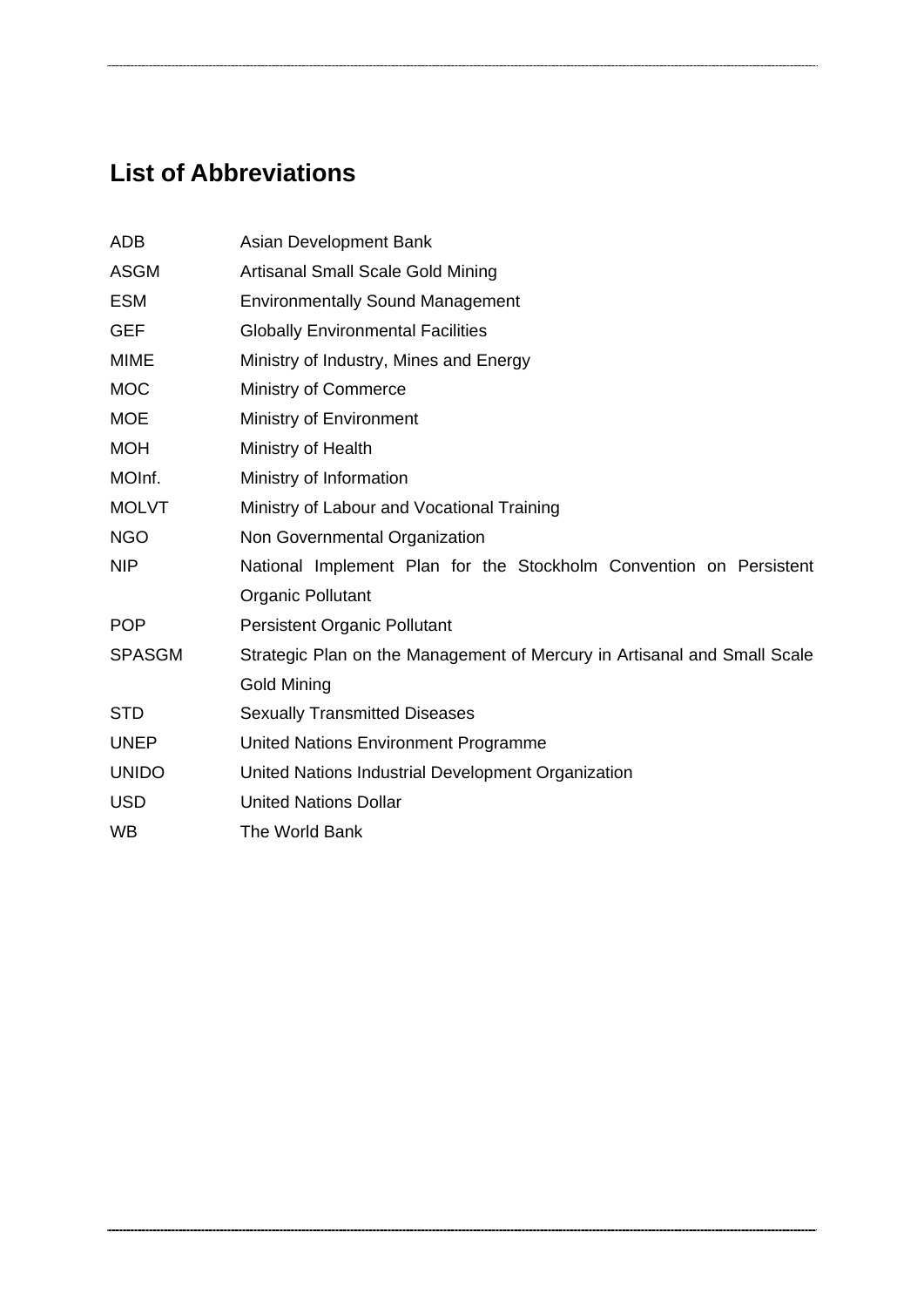# <span id="page-5-0"></span>**List of Abbreviations**

| ADB           | Asian Development Bank                                                   |  |  |  |  |  |  |  |  |
|---------------|--------------------------------------------------------------------------|--|--|--|--|--|--|--|--|
| <b>ASGM</b>   | Artisanal Small Scale Gold Mining                                        |  |  |  |  |  |  |  |  |
| <b>ESM</b>    | <b>Environmentally Sound Management</b>                                  |  |  |  |  |  |  |  |  |
| <b>GEF</b>    | <b>Globally Environmental Facilities</b>                                 |  |  |  |  |  |  |  |  |
| <b>MIME</b>   | Ministry of Industry, Mines and Energy                                   |  |  |  |  |  |  |  |  |
| <b>MOC</b>    | Ministry of Commerce                                                     |  |  |  |  |  |  |  |  |
| <b>MOE</b>    | Ministry of Environment                                                  |  |  |  |  |  |  |  |  |
| <b>MOH</b>    | Ministry of Health                                                       |  |  |  |  |  |  |  |  |
| MOInf.        | Ministry of Information                                                  |  |  |  |  |  |  |  |  |
| <b>MOLVT</b>  | Ministry of Labour and Vocational Training                               |  |  |  |  |  |  |  |  |
| <b>NGO</b>    | Non Governmental Organization                                            |  |  |  |  |  |  |  |  |
| <b>NIP</b>    | National Implement Plan for the Stockholm Convention on Persistent       |  |  |  |  |  |  |  |  |
|               | <b>Organic Pollutant</b>                                                 |  |  |  |  |  |  |  |  |
| <b>POP</b>    | <b>Persistent Organic Pollutant</b>                                      |  |  |  |  |  |  |  |  |
| <b>SPASGM</b> | Strategic Plan on the Management of Mercury in Artisanal and Small Scale |  |  |  |  |  |  |  |  |
|               | Gold Mining                                                              |  |  |  |  |  |  |  |  |
| <b>STD</b>    | <b>Sexually Transmitted Diseases</b>                                     |  |  |  |  |  |  |  |  |
| <b>UNEP</b>   | United Nations Environment Programme                                     |  |  |  |  |  |  |  |  |
| <b>UNIDO</b>  | United Nations Industrial Development Organization                       |  |  |  |  |  |  |  |  |
| <b>USD</b>    | <b>United Nations Dollar</b>                                             |  |  |  |  |  |  |  |  |
| <b>WB</b>     | The World Bank                                                           |  |  |  |  |  |  |  |  |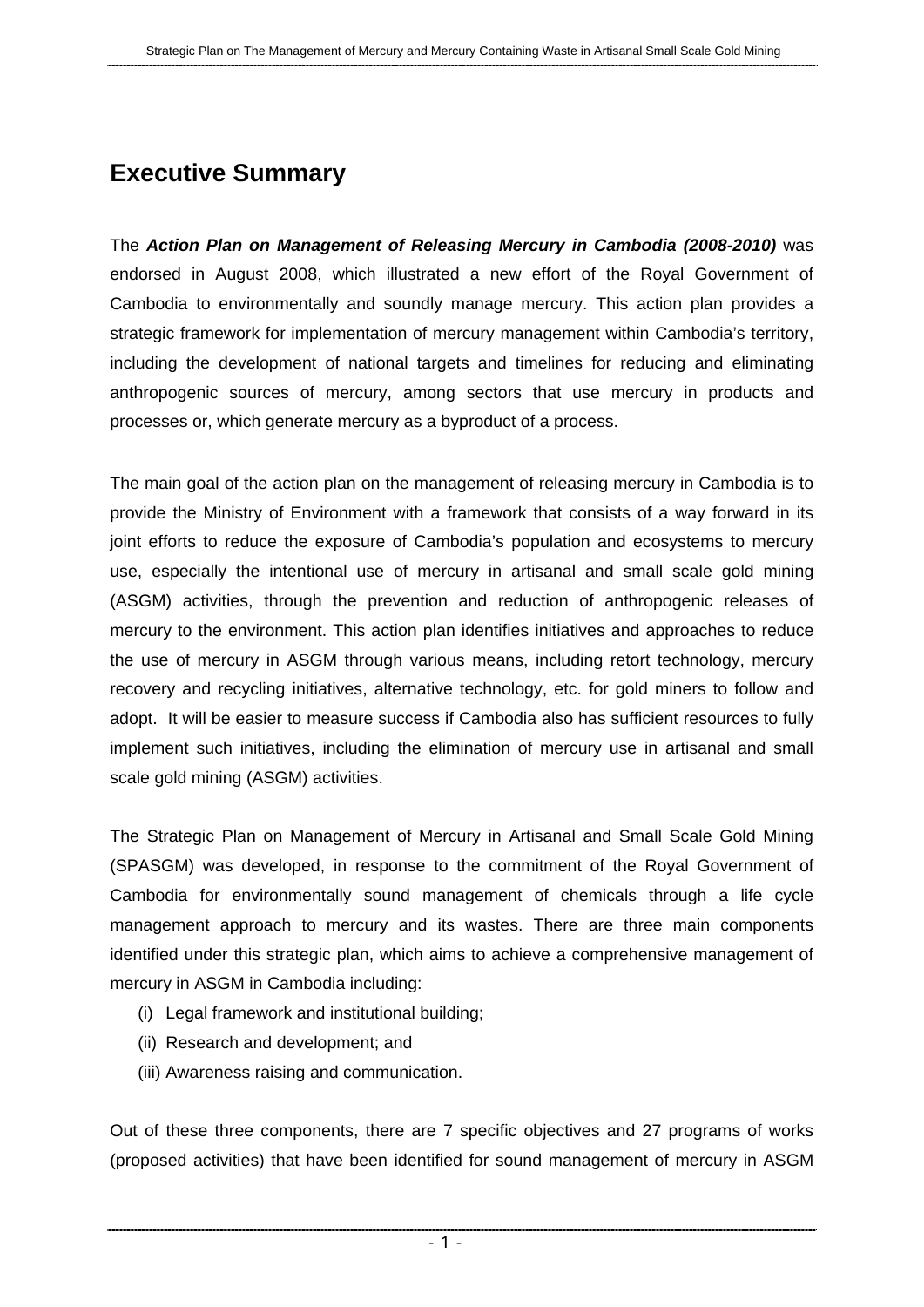# <span id="page-6-0"></span>**Executive Summary**

The *Action Plan on Management of Releasing Mercury in Cambodia (2008-2010)* was endorsed in August 2008, which illustrated a new effort of the Royal Government of Cambodia to environmentally and soundly manage mercury. This action plan provides a strategic framework for implementation of mercury management within Cambodia's territory, including the development of national targets and timelines for reducing and eliminating anthropogenic sources of mercury, among sectors that use mercury in products and processes or, which generate mercury as a byproduct of a process.

The main goal of the action plan on the management of releasing mercury in Cambodia is to provide the Ministry of Environment with a framework that consists of a way forward in its joint efforts to reduce the exposure of Cambodia's population and ecosystems to mercury use, especially the intentional use of mercury in artisanal and small scale gold mining (ASGM) activities, through the prevention and reduction of anthropogenic releases of mercury to the environment. This action plan identifies initiatives and approaches to reduce the use of mercury in ASGM through various means, including retort technology, mercury recovery and recycling initiatives, alternative technology, etc. for gold miners to follow and adopt. It will be easier to measure success if Cambodia also has sufficient resources to fully implement such initiatives, including the elimination of mercury use in artisanal and small scale gold mining (ASGM) activities.

The Strategic Plan on Management of Mercury in Artisanal and Small Scale Gold Mining (SPASGM) was developed, in response to the commitment of the Royal Government of Cambodia for environmentally sound management of chemicals through a life cycle management approach to mercury and its wastes. There are three main components identified under this strategic plan, which aims to achieve a comprehensive management of mercury in ASGM in Cambodia including:

- (i) Legal framework and institutional building;
- (ii) Research and development; and
- (iii) Awareness raising and communication.

Out of these three components, there are 7 specific objectives and 27 programs of works (proposed activities) that have been identified for sound management of mercury in ASGM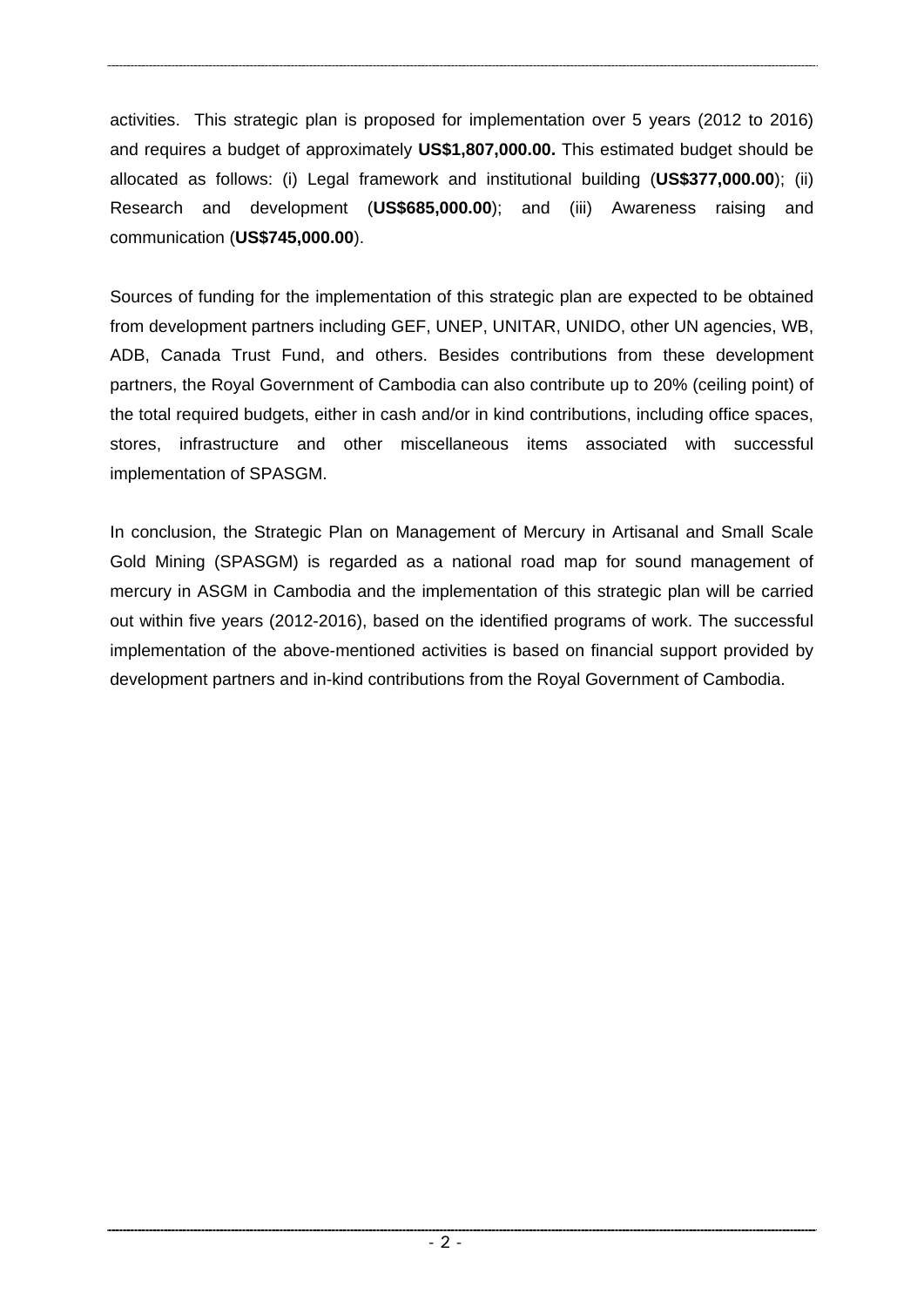activities. This strategic plan is proposed for implementation over 5 years (2012 to 2016) and requires a budget of approximately **US\$1,807,000.00.** This estimated budget should be allocated as follows: (i) Legal framework and institutional building (**US\$377,000.00**); (ii) Research and development (**US\$685,000.00**); and (iii) Awareness raising and communication (**US\$745,000.00**).

Sources of funding for the implementation of this strategic plan are expected to be obtained from development partners including GEF, UNEP, UNITAR, UNIDO, other UN agencies, WB, ADB, Canada Trust Fund, and others. Besides contributions from these development partners, the Royal Government of Cambodia can also contribute up to 20% (ceiling point) of the total required budgets, either in cash and/or in kind contributions, including office spaces, stores, infrastructure and other miscellaneous items associated with successful implementation of SPASGM.

In conclusion, the Strategic Plan on Management of Mercury in Artisanal and Small Scale Gold Mining (SPASGM) is regarded as a national road map for sound management of mercury in ASGM in Cambodia and the implementation of this strategic plan will be carried out within five years (2012-2016), based on the identified programs of work. The successful implementation of the above-mentioned activities is based on financial support provided by development partners and in-kind contributions from the Royal Government of Cambodia.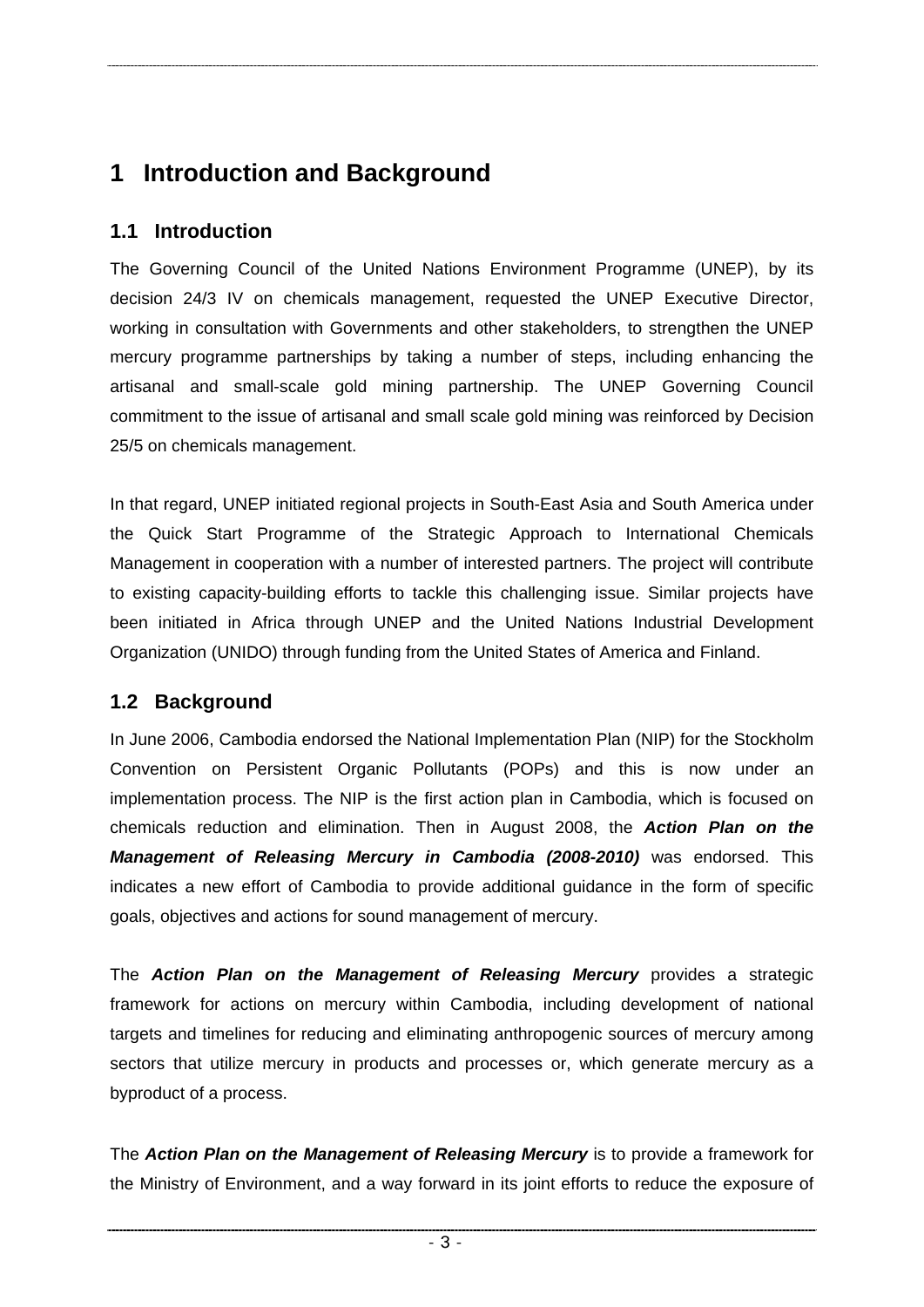# <span id="page-8-0"></span>**1 Introduction and Background**

## **1.1 Introduction**

The Governing Council of the United Nations Environment Programme (UNEP), by its decision 24/3 IV on chemicals management, requested the UNEP Executive Director, working in consultation with Governments and other stakeholders, to strengthen the UNEP mercury programme partnerships by taking a number of steps, including enhancing the artisanal and small-scale gold mining partnership. The UNEP Governing Council commitment to the issue of artisanal and small scale gold mining was reinforced by Decision 25/5 on chemicals management.

In that regard, UNEP initiated regional projects in South-East Asia and South America under the Quick Start Programme of the Strategic Approach to International Chemicals Management in cooperation with a number of interested partners. The project will contribute to existing capacity-building efforts to tackle this challenging issue. Similar projects have been initiated in Africa through UNEP and the United Nations Industrial Development Organization (UNIDO) through funding from the United States of America and Finland.

# **1.2 Background**

In June 2006, Cambodia endorsed the National Implementation Plan (NIP) for the Stockholm Convention on Persistent Organic Pollutants (POPs) and this is now under an implementation process. The NIP is the first action plan in Cambodia, which is focused on chemicals reduction and elimination. Then in August 2008, the *Action Plan on the Management of Releasing Mercury in Cambodia (2008-2010)* was endorsed. This indicates a new effort of Cambodia to provide additional guidance in the form of specific goals, objectives and actions for sound management of mercury.

The *Action Plan on the Management of Releasing Mercury* provides a strategic framework for actions on mercury within Cambodia, including development of national targets and timelines for reducing and eliminating anthropogenic sources of mercury among sectors that utilize mercury in products and processes or, which generate mercury as a byproduct of a process.

The *Action Plan on the Management of Releasing Mercury* is to provide a framework for the Ministry of Environment, and a way forward in its joint efforts to reduce the exposure of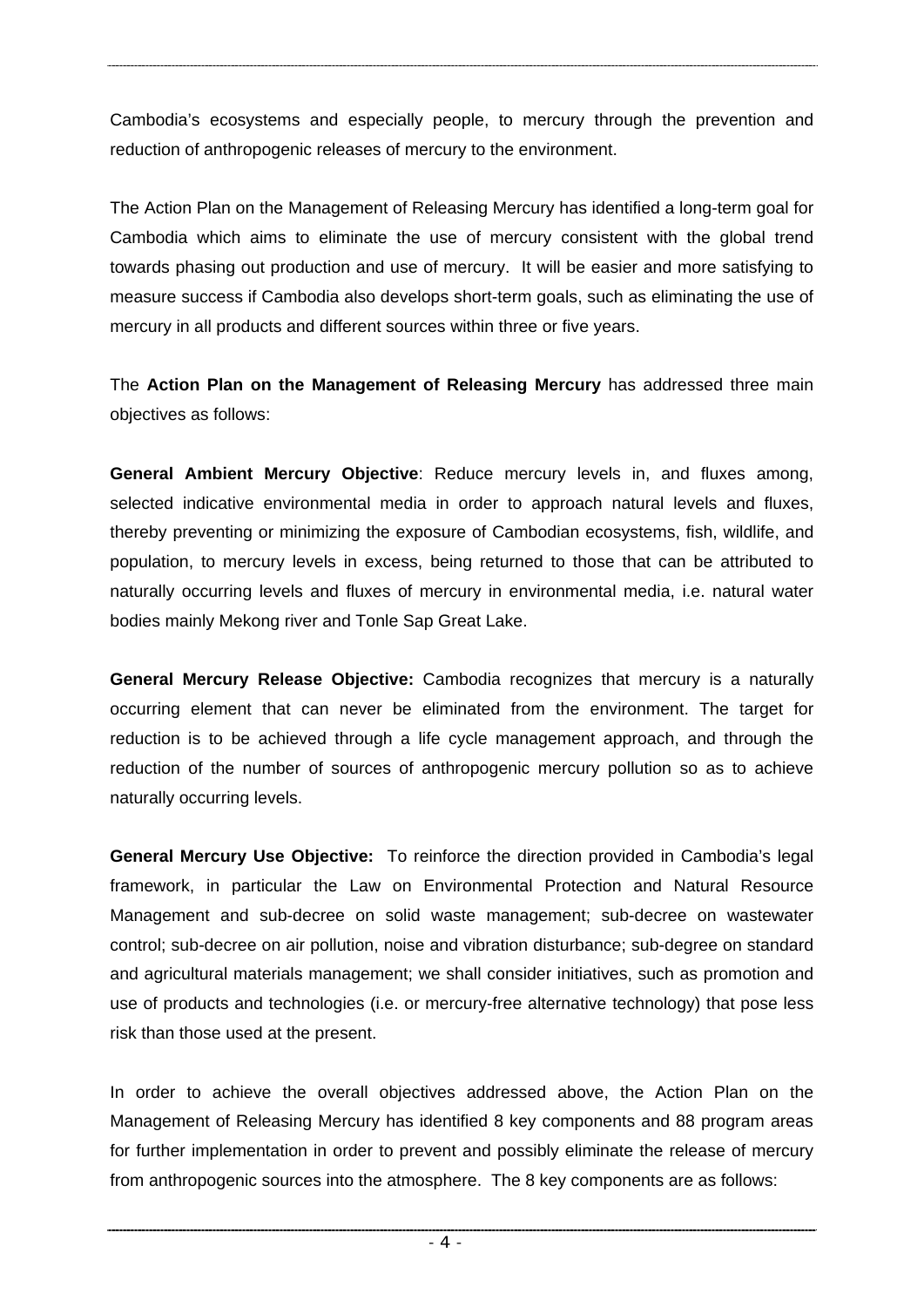Cambodia's ecosystems and especially people, to mercury through the prevention and reduction of anthropogenic releases of mercury to the environment.

The Action Plan on the Management of Releasing Mercury has identified a long-term goal for Cambodia which aims to eliminate the use of mercury consistent with the global trend towards phasing out production and use of mercury. It will be easier and more satisfying to measure success if Cambodia also develops short-term goals, such as eliminating the use of mercury in all products and different sources within three or five years.

The **Action Plan on the Management of Releasing Mercury** has addressed three main objectives as follows:

**General Ambient Mercury Objective**: Reduce mercury levels in, and fluxes among, selected indicative environmental media in order to approach natural levels and fluxes, thereby preventing or minimizing the exposure of Cambodian ecosystems, fish, wildlife, and population, to mercury levels in excess, being returned to those that can be attributed to naturally occurring levels and fluxes of mercury in environmental media, i.e. natural water bodies mainly Mekong river and Tonle Sap Great Lake.

**General Mercury Release Objective:** Cambodia recognizes that mercury is a naturally occurring element that can never be eliminated from the environment. The target for reduction is to be achieved through a life cycle management approach, and through the reduction of the number of sources of anthropogenic mercury pollution so as to achieve naturally occurring levels.

**General Mercury Use Objective:** To reinforce the direction provided in Cambodia's legal framework, in particular the Law on Environmental Protection and Natural Resource Management and sub-decree on solid waste management; sub-decree on wastewater control; sub-decree on air pollution, noise and vibration disturbance; sub-degree on standard and agricultural materials management; we shall consider initiatives, such as promotion and use of products and technologies (i.e. or mercury-free alternative technology) that pose less risk than those used at the present.

In order to achieve the overall objectives addressed above, the Action Plan on the Management of Releasing Mercury has identified 8 key components and 88 program areas for further implementation in order to prevent and possibly eliminate the release of mercury from anthropogenic sources into the atmosphere. The 8 key components are as follows: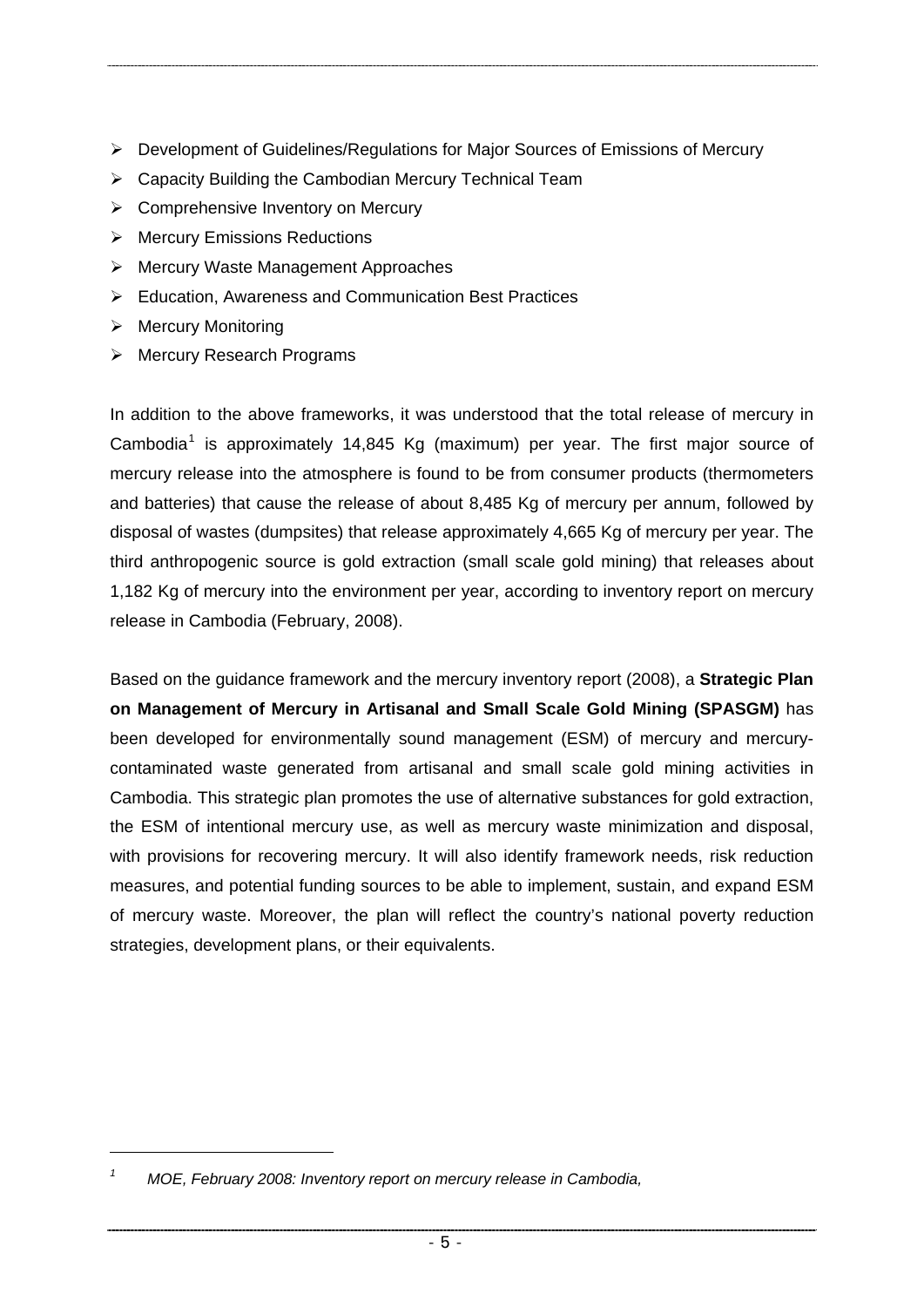- ¾ Development of Guidelines/Regulations for Major Sources of Emissions of Mercury
- $\triangleright$  Capacity Building the Cambodian Mercury Technical Team
- $\triangleright$  Comprehensive Inventory on Mercury
- ¾ Mercury Emissions Reductions
- ¾ Mercury Waste Management Approaches
- ¾ Education, Awareness and Communication Best Practices
- $\triangleright$  Mercury Monitoring

-

¾ Mercury Research Programs

In addition to the above frameworks, it was understood that the total release of mercury in Cambodia<sup>[1](#page-10-0)</sup> is approximately 14,845 Kg (maximum) per year. The first major source of mercury release into the atmosphere is found to be from consumer products (thermometers and batteries) that cause the release of about 8,485 Kg of mercury per annum, followed by disposal of wastes (dumpsites) that release approximately 4,665 Kg of mercury per year. The third anthropogenic source is gold extraction (small scale gold mining) that releases about 1,182 Kg of mercury into the environment per year, according to inventory report on mercury release in Cambodia (February, 2008).

Based on the guidance framework and the mercury inventory report (2008), a **Strategic Plan on Management of Mercury in Artisanal and Small Scale Gold Mining (SPASGM)** has been developed for environmentally sound management (ESM) of mercury and mercurycontaminated waste generated from artisanal and small scale gold mining activities in Cambodia. This strategic plan promotes the use of alternative substances for gold extraction, the ESM of intentional mercury use, as well as mercury waste minimization and disposal, with provisions for recovering mercury. It will also identify framework needs, risk reduction measures, and potential funding sources to be able to implement, sustain, and expand ESM of mercury waste. Moreover, the plan will reflect the country's national poverty reduction strategies, development plans, or their equivalents.

<span id="page-10-0"></span>*<sup>1</sup> MOE, February 2008: Inventory report on mercury release in Cambodia,*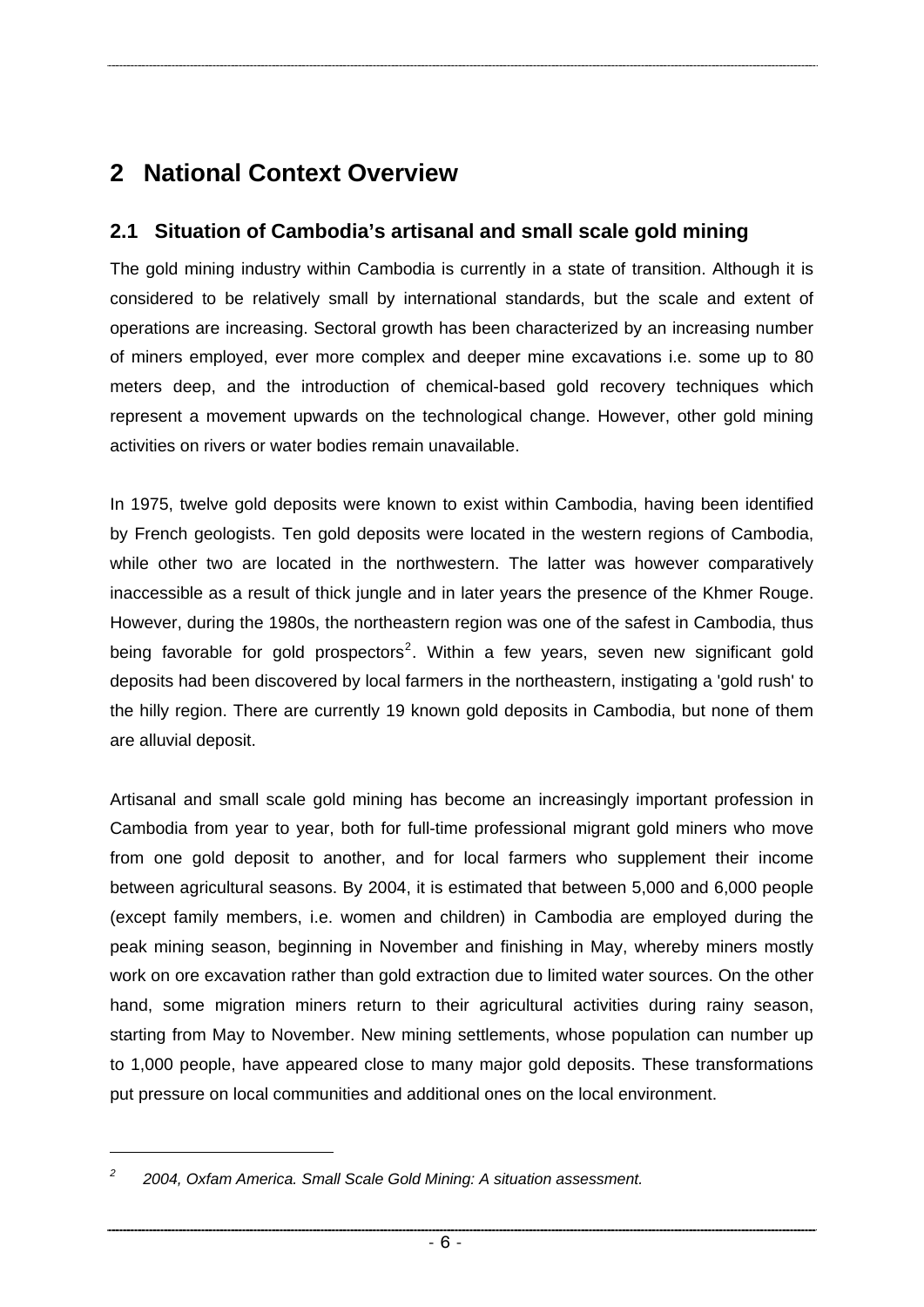# <span id="page-11-0"></span>**2 National Context Overview**

## **2.1 Situation of Cambodia's artisanal and small scale gold mining**

The gold mining industry within Cambodia is currently in a state of transition. Although it is considered to be relatively small by international standards, but the scale and extent of operations are increasing. Sectoral growth has been characterized by an increasing number of miners employed, ever more complex and deeper mine excavations i.e. some up to 80 meters deep, and the introduction of chemical-based gold recovery techniques which represent a movement upwards on the technological change. However, other gold mining activities on rivers or water bodies remain unavailable.

In 1975, twelve gold deposits were known to exist within Cambodia, having been identified by French geologists. Ten gold deposits were located in the western regions of Cambodia, while other two are located in the northwestern. The latter was however comparatively inaccessible as a result of thick jungle and in later years the presence of the Khmer Rouge. However, during the 1980s, the northeastern region was one of the safest in Cambodia, thus being favorable for gold prospectors<sup>[2](#page-11-1)</sup>. Within a few years, seven new significant gold deposits had been discovered by local farmers in the northeastern, instigating a 'gold rush' to the hilly region. There are currently 19 known gold deposits in Cambodia, but none of them are alluvial deposit.

Artisanal and small scale gold mining has become an increasingly important profession in Cambodia from year to year, both for full-time professional migrant gold miners who move from one gold deposit to another, and for local farmers who supplement their income between agricultural seasons. By 2004, it is estimated that between 5,000 and 6,000 people (except family members, i.e. women and children) in Cambodia are employed during the peak mining season, beginning in November and finishing in May, whereby miners mostly work on ore excavation rather than gold extraction due to limited water sources. On the other hand, some migration miners return to their agricultural activities during rainy season, starting from May to November. New mining settlements, whose population can number up to 1,000 people, have appeared close to many major gold deposits. These transformations put pressure on local communities and additional ones on the local environment.

-

<span id="page-11-1"></span>*<sup>2</sup> 2004, Oxfam America. Small Scale Gold Mining: A situation assessment.*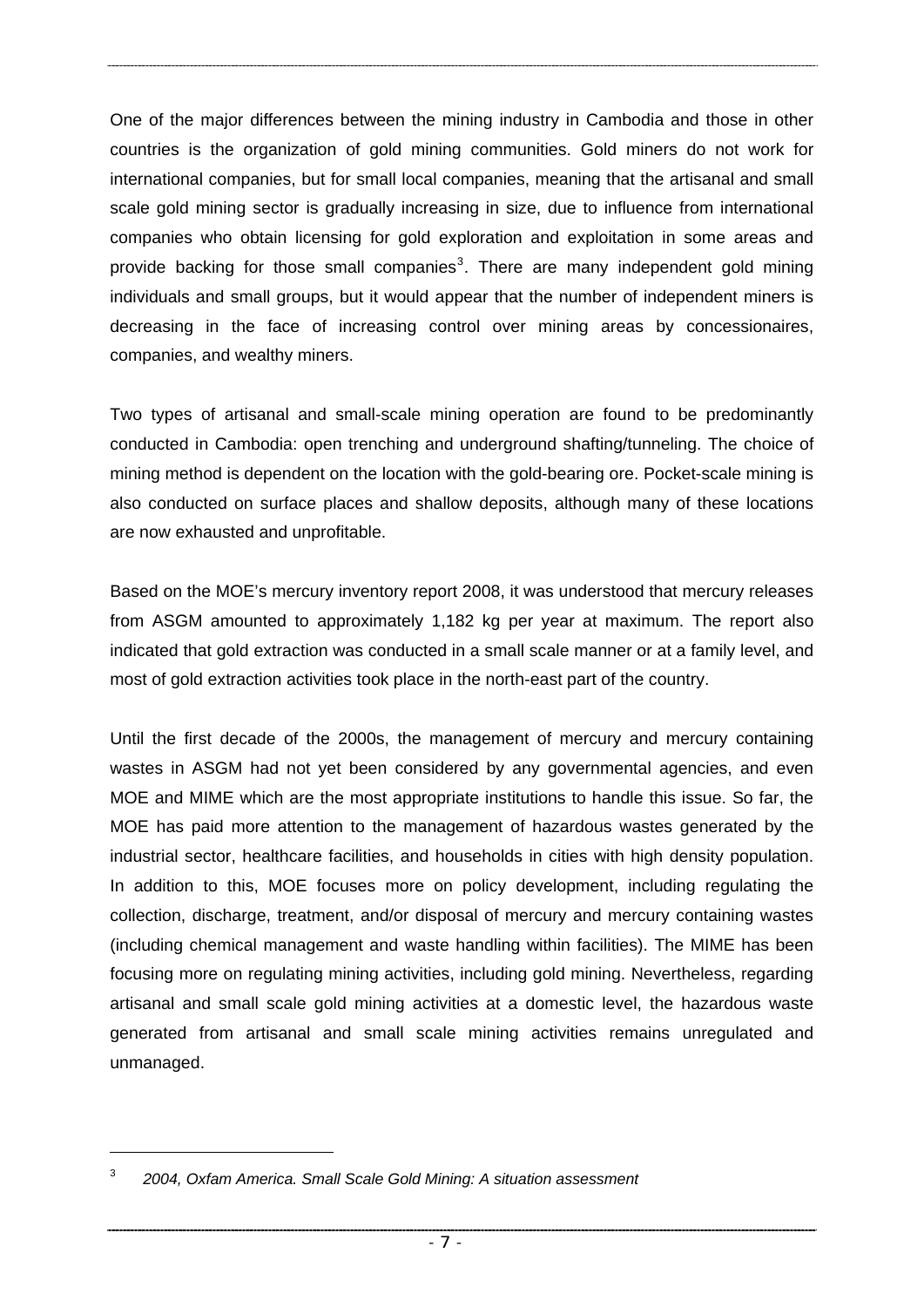One of the major differences between the mining industry in Cambodia and those in other countries is the organization of gold mining communities. Gold miners do not work for international companies, but for small local companies, meaning that the artisanal and small scale gold mining sector is gradually increasing in size, due to influence from international companies who obtain licensing for gold exploration and exploitation in some areas and provide backing for those small companies<sup>[3](#page-12-0)</sup>. There are many independent gold mining individuals and small groups, but it would appear that the number of independent miners is decreasing in the face of increasing control over mining areas by concessionaires, companies, and wealthy miners.

Two types of artisanal and small-scale mining operation are found to be predominantly conducted in Cambodia: open trenching and underground shafting/tunneling. The choice of mining method is dependent on the location with the gold-bearing ore. Pocket-scale mining is also conducted on surface places and shallow deposits, although many of these locations are now exhausted and unprofitable.

Based on the MOE's mercury inventory report 2008, it was understood that mercury releases from ASGM amounted to approximately 1,182 kg per year at maximum. The report also indicated that gold extraction was conducted in a small scale manner or at a family level, and most of gold extraction activities took place in the north-east part of the country.

Until the first decade of the 2000s, the management of mercury and mercury containing wastes in ASGM had not yet been considered by any governmental agencies, and even MOE and MIME which are the most appropriate institutions to handle this issue. So far, the MOE has paid more attention to the management of hazardous wastes generated by the industrial sector, healthcare facilities, and households in cities with high density population. In addition to this, MOE focuses more on policy development, including regulating the collection, discharge, treatment, and/or disposal of mercury and mercury containing wastes (including chemical management and waste handling within facilities). The MIME has been focusing more on regulating mining activities, including gold mining. Nevertheless, regarding artisanal and small scale gold mining activities at a domestic level, the hazardous waste generated from artisanal and small scale mining activities remains unregulated and unmanaged.

-

<span id="page-12-0"></span><sup>3</sup> *2004, Oxfam America. Small Scale Gold Mining: A situation assessment*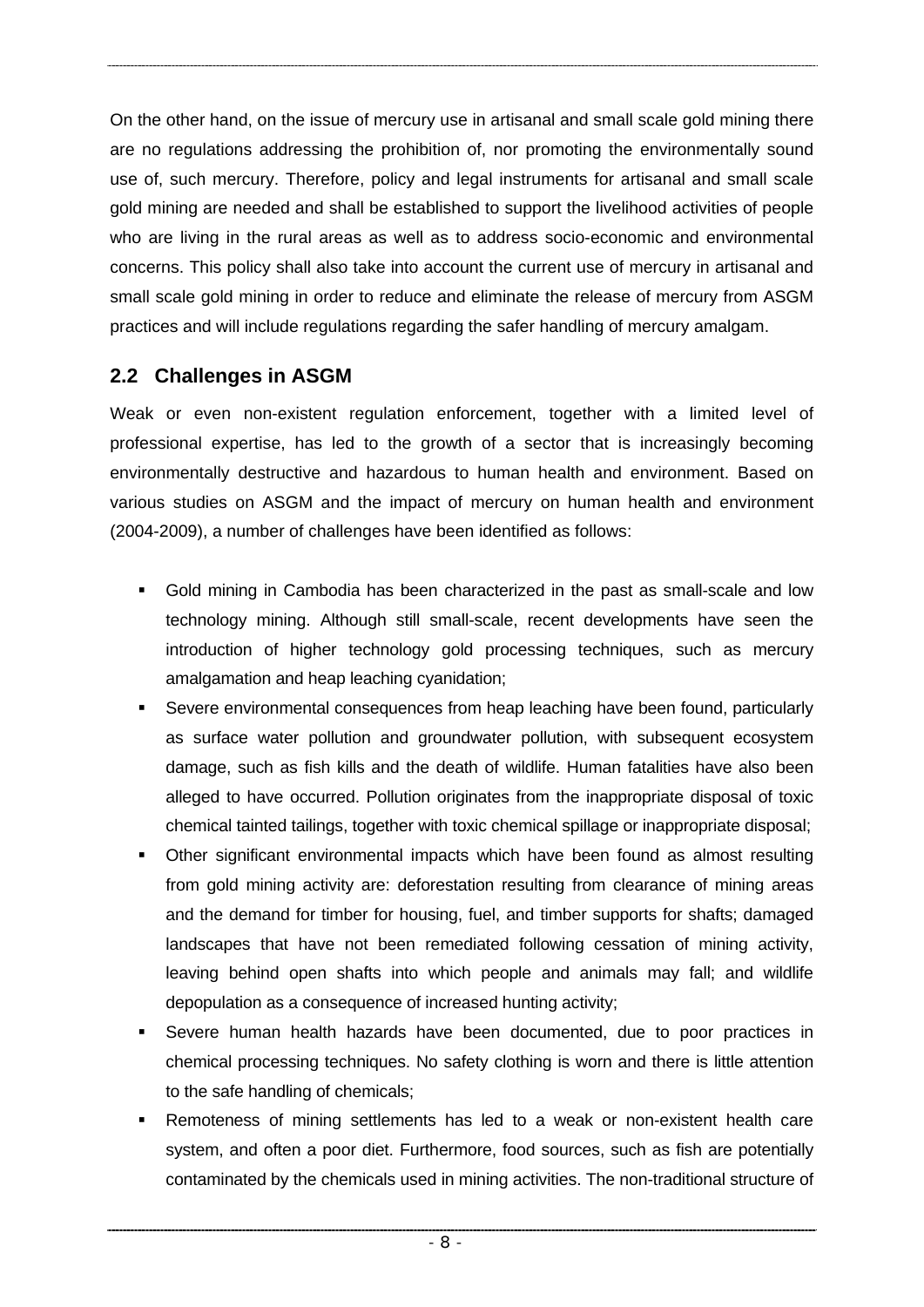<span id="page-13-0"></span>On the other hand, on the issue of mercury use in artisanal and small scale gold mining there are no regulations addressing the prohibition of, nor promoting the environmentally sound use of, such mercury. Therefore, policy and legal instruments for artisanal and small scale gold mining are needed and shall be established to support the livelihood activities of people who are living in the rural areas as well as to address socio-economic and environmental concerns. This policy shall also take into account the current use of mercury in artisanal and small scale gold mining in order to reduce and eliminate the release of mercury from ASGM practices and will include regulations regarding the safer handling of mercury amalgam.

# **2.2 Challenges in ASGM**

Weak or even non-existent regulation enforcement, together with a limited level of professional expertise, has led to the growth of a sector that is increasingly becoming environmentally destructive and hazardous to human health and environment. Based on various studies on ASGM and the impact of mercury on human health and environment (2004-2009), a number of challenges have been identified as follows:

- Gold mining in Cambodia has been characterized in the past as small-scale and low technology mining. Although still small-scale, recent developments have seen the introduction of higher technology gold processing techniques, such as mercury amalgamation and heap leaching cyanidation;
- Severe environmental consequences from heap leaching have been found, particularly as surface water pollution and groundwater pollution, with subsequent ecosystem damage, such as fish kills and the death of wildlife. Human fatalities have also been alleged to have occurred. Pollution originates from the inappropriate disposal of toxic chemical tainted tailings, together with toxic chemical spillage or inappropriate disposal;
- Other significant environmental impacts which have been found as almost resulting from gold mining activity are: deforestation resulting from clearance of mining areas and the demand for timber for housing, fuel, and timber supports for shafts; damaged landscapes that have not been remediated following cessation of mining activity, leaving behind open shafts into which people and animals may fall; and wildlife depopulation as a consequence of increased hunting activity;
- Severe human health hazards have been documented, due to poor practices in chemical processing techniques. No safety clothing is worn and there is little attention to the safe handling of chemicals;
- Remoteness of mining settlements has led to a weak or non-existent health care system, and often a poor diet. Furthermore, food sources, such as fish are potentially contaminated by the chemicals used in mining activities. The non-traditional structure of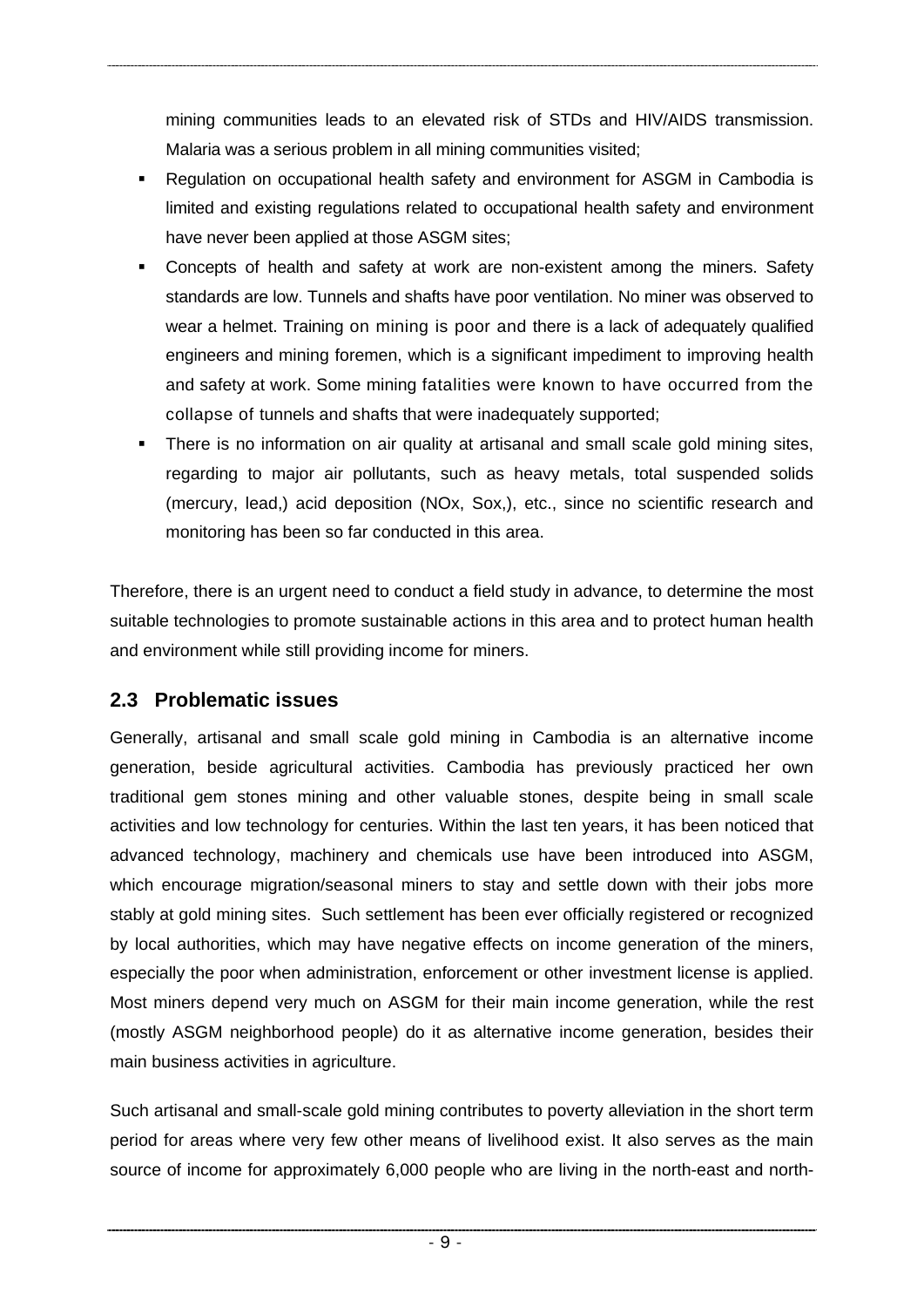<span id="page-14-0"></span>mining communities leads to an elevated risk of STDs and HIV/AIDS transmission. Malaria was a serious problem in all mining communities visited;

- Regulation on occupational health safety and environment for ASGM in Cambodia is limited and existing regulations related to occupational health safety and environment have never been applied at those ASGM sites;
- Concepts of health and safety at work are non-existent among the miners. Safety standards are low. Tunnels and shafts have poor ventilation. No miner was observed to wear a helmet. Training on mining is poor and there is a lack of adequately qualified engineers and mining foremen, which is a significant impediment to improving health and safety at work. Some mining fatalities were known to have occurred from the collapse of tunnels and shafts that were inadequately supported;
- There is no information on air quality at artisanal and small scale gold mining sites, regarding to major air pollutants, such as heavy metals, total suspended solids (mercury, lead,) acid deposition (NOx, Sox,), etc., since no scientific research and monitoring has been so far conducted in this area.

Therefore, there is an urgent need to conduct a field study in advance, to determine the most suitable technologies to promote sustainable actions in this area and to protect human health and environment while still providing income for miners.

## **2.3 Problematic issues**

Generally, artisanal and small scale gold mining in Cambodia is an alternative income generation, beside agricultural activities. Cambodia has previously practiced her own traditional gem stones mining and other valuable stones, despite being in small scale activities and low technology for centuries. Within the last ten years, it has been noticed that advanced technology, machinery and chemicals use have been introduced into ASGM, which encourage migration/seasonal miners to stay and settle down with their jobs more stably at gold mining sites. Such settlement has been ever officially registered or recognized by local authorities, which may have negative effects on income generation of the miners, especially the poor when administration, enforcement or other investment license is applied. Most miners depend very much on ASGM for their main income generation, while the rest (mostly ASGM neighborhood people) do it as alternative income generation, besides their main business activities in agriculture.

Such artisanal and small-scale gold mining contributes to poverty alleviation in the short term period for areas where very few other means of livelihood exist. It also serves as the main source of income for approximately 6,000 people who are living in the north-east and north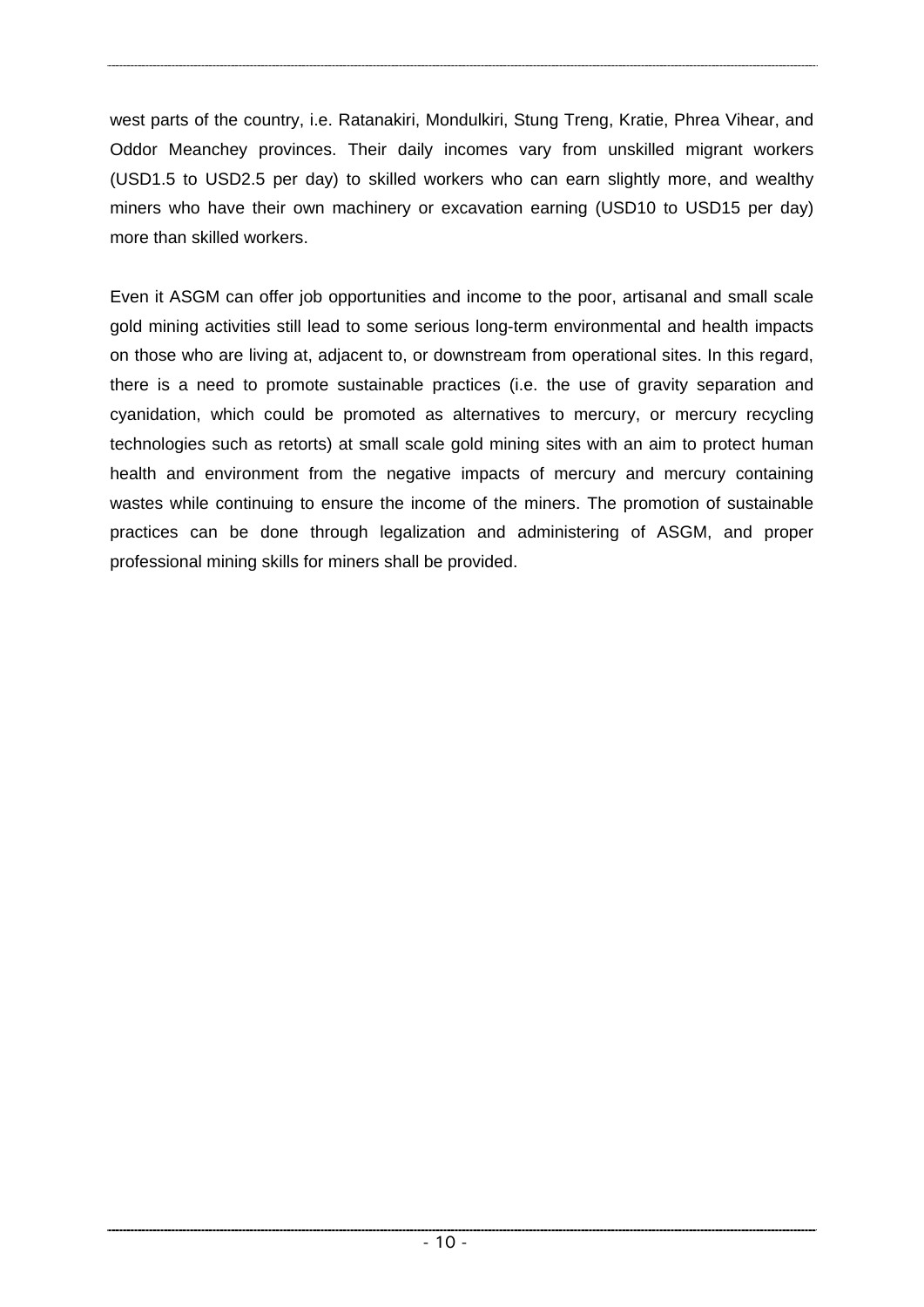west parts of the country, i.e. Ratanakiri, Mondulkiri, Stung Treng, Kratie, Phrea Vihear, and Oddor Meanchey provinces. Their daily incomes vary from unskilled migrant workers (USD1.5 to USD2.5 per day) to skilled workers who can earn slightly more, and wealthy miners who have their own machinery or excavation earning (USD10 to USD15 per day) more than skilled workers.

Even it ASGM can offer job opportunities and income to the poor, artisanal and small scale gold mining activities still lead to some serious long-term environmental and health impacts on those who are living at, adjacent to, or downstream from operational sites. In this regard, there is a need to promote sustainable practices (i.e. the use of gravity separation and cyanidation, which could be promoted as alternatives to mercury, or mercury recycling technologies such as retorts) at small scale gold mining sites with an aim to protect human health and environment from the negative impacts of mercury and mercury containing wastes while continuing to ensure the income of the miners. The promotion of sustainable practices can be done through legalization and administering of ASGM, and proper professional mining skills for miners shall be provided.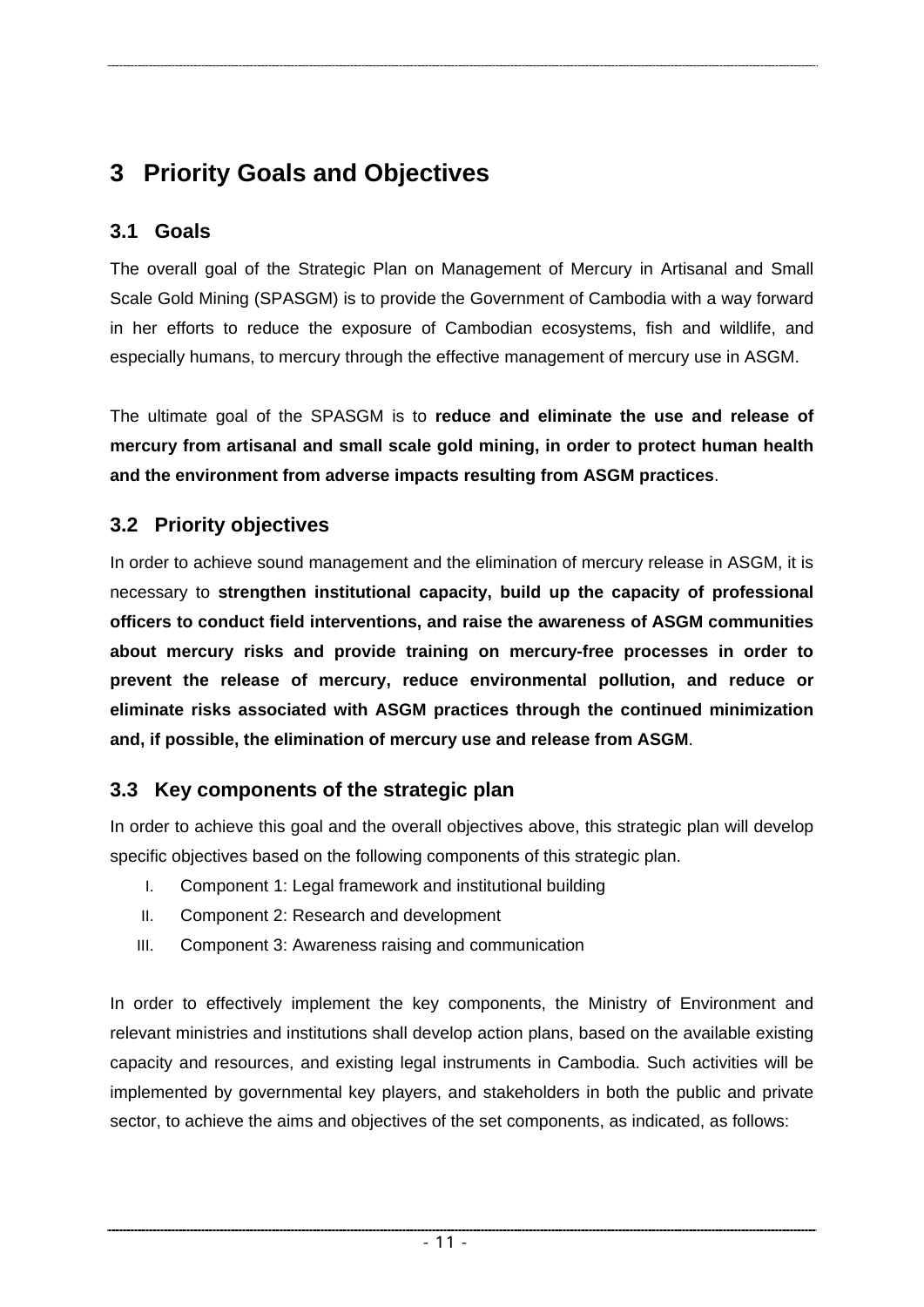# <span id="page-16-0"></span>**3 Priority Goals and Objectives**

# **3.1 Goals**

The overall goal of the Strategic Plan on Management of Mercury in Artisanal and Small Scale Gold Mining (SPASGM) is to provide the Government of Cambodia with a way forward in her efforts to reduce the exposure of Cambodian ecosystems, fish and wildlife, and especially humans, to mercury through the effective management of mercury use in ASGM.

The ultimate goal of the SPASGM is to **reduce and eliminate the use and release of mercury from artisanal and small scale gold mining, in order to protect human health and the environment from adverse impacts resulting from ASGM practices**.

# **3.2 Priority objectives**

In order to achieve sound management and the elimination of mercury release in ASGM, it is necessary to **strengthen institutional capacity, build up the capacity of professional officers to conduct field interventions, and raise the awareness of ASGM communities about mercury risks and provide training on mercury-free processes in order to prevent the release of mercury, reduce environmental pollution, and reduce or eliminate risks associated with ASGM practices through the continued minimization and, if possible, the elimination of mercury use and release from ASGM**.

# **3.3 Key components of the strategic plan**

In order to achieve this goal and the overall objectives above, this strategic plan will develop specific objectives based on the following components of this strategic plan.

- I. Component 1: Legal framework and institutional building
- II. Component 2: Research and development
- III. Component 3: Awareness raising and communication

In order to effectively implement the key components, the Ministry of Environment and relevant ministries and institutions shall develop action plans, based on the available existing capacity and resources, and existing legal instruments in Cambodia. Such activities will be implemented by governmental key players, and stakeholders in both the public and private sector, to achieve the aims and objectives of the set components, as indicated, as follows: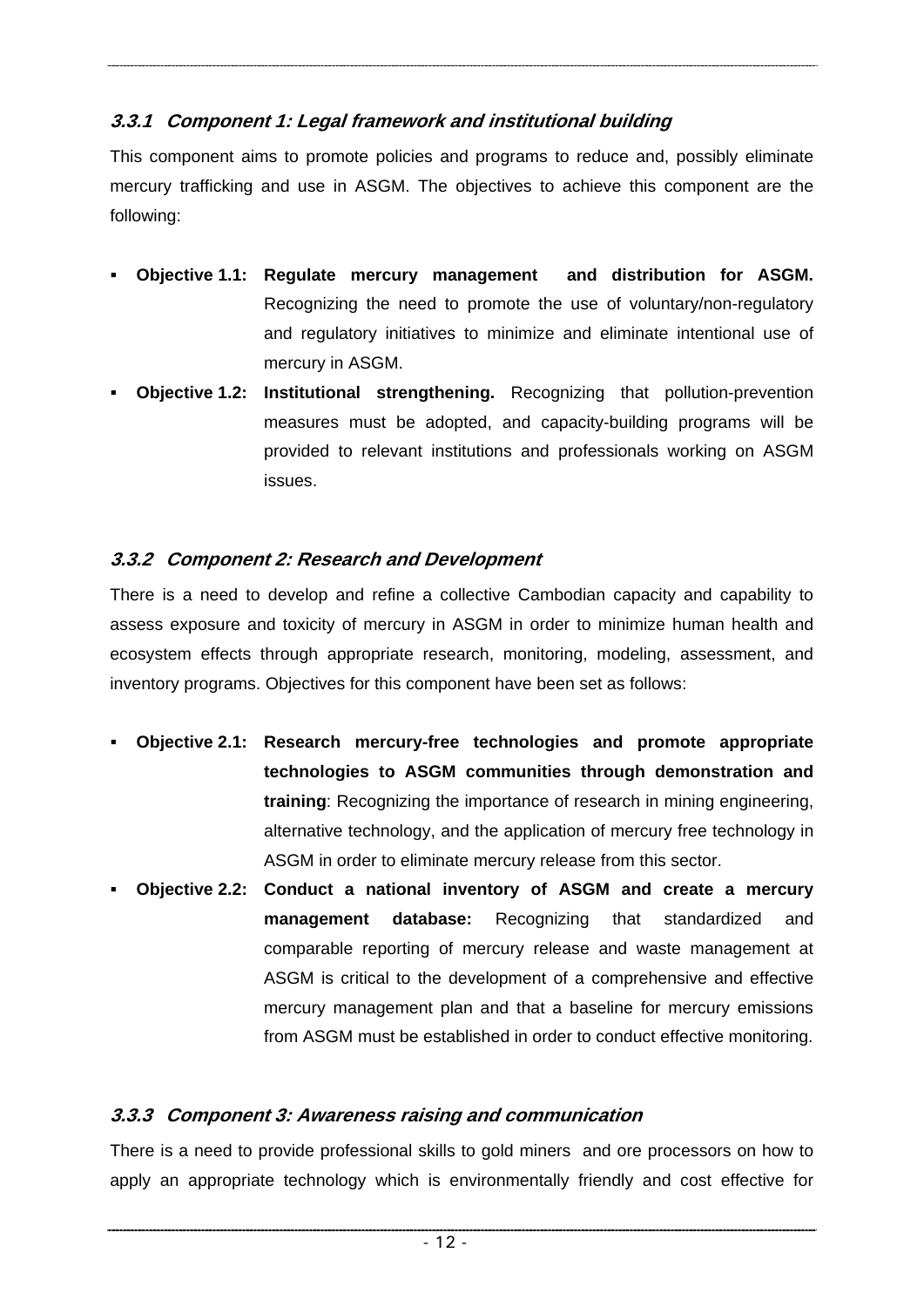## **3.3.1 Component 1: Legal framework and institutional building**

This component aims to promote policies and programs to reduce and, possibly eliminate mercury trafficking and use in ASGM. The objectives to achieve this component are the following:

- **Objective 1.1: Regulate mercury management and distribution for ASGM.**  Recognizing the need to promote the use of voluntary/non-regulatory and regulatory initiatives to minimize and eliminate intentional use of mercury in ASGM.
- **Objective 1.2: Institutional strengthening.** Recognizing that pollution-prevention measures must be adopted, and capacity-building programs will be provided to relevant institutions and professionals working on ASGM issues.

## **3.3.2 Component 2: Research and Development**

There is a need to develop and refine a collective Cambodian capacity and capability to assess exposure and toxicity of mercury in ASGM in order to minimize human health and ecosystem effects through appropriate research, monitoring, modeling, assessment, and inventory programs. Objectives for this component have been set as follows:

- **Objective 2.1: Research mercury-free technologies and promote appropriate technologies to ASGM communities through demonstration and training**: Recognizing the importance of research in mining engineering, alternative technology, and the application of mercury free technology in ASGM in order to eliminate mercury release from this sector.
- **Objective 2.2: Conduct a national inventory of ASGM and create a mercury management database:** Recognizing that standardized and comparable reporting of mercury release and waste management at ASGM is critical to the development of a comprehensive and effective mercury management plan and that a baseline for mercury emissions from ASGM must be established in order to conduct effective monitoring.

## **3.3.3 Component 3: Awareness raising and communication**

There is a need to provide professional skills to gold miners and ore processors on how to apply an appropriate technology which is environmentally friendly and cost effective for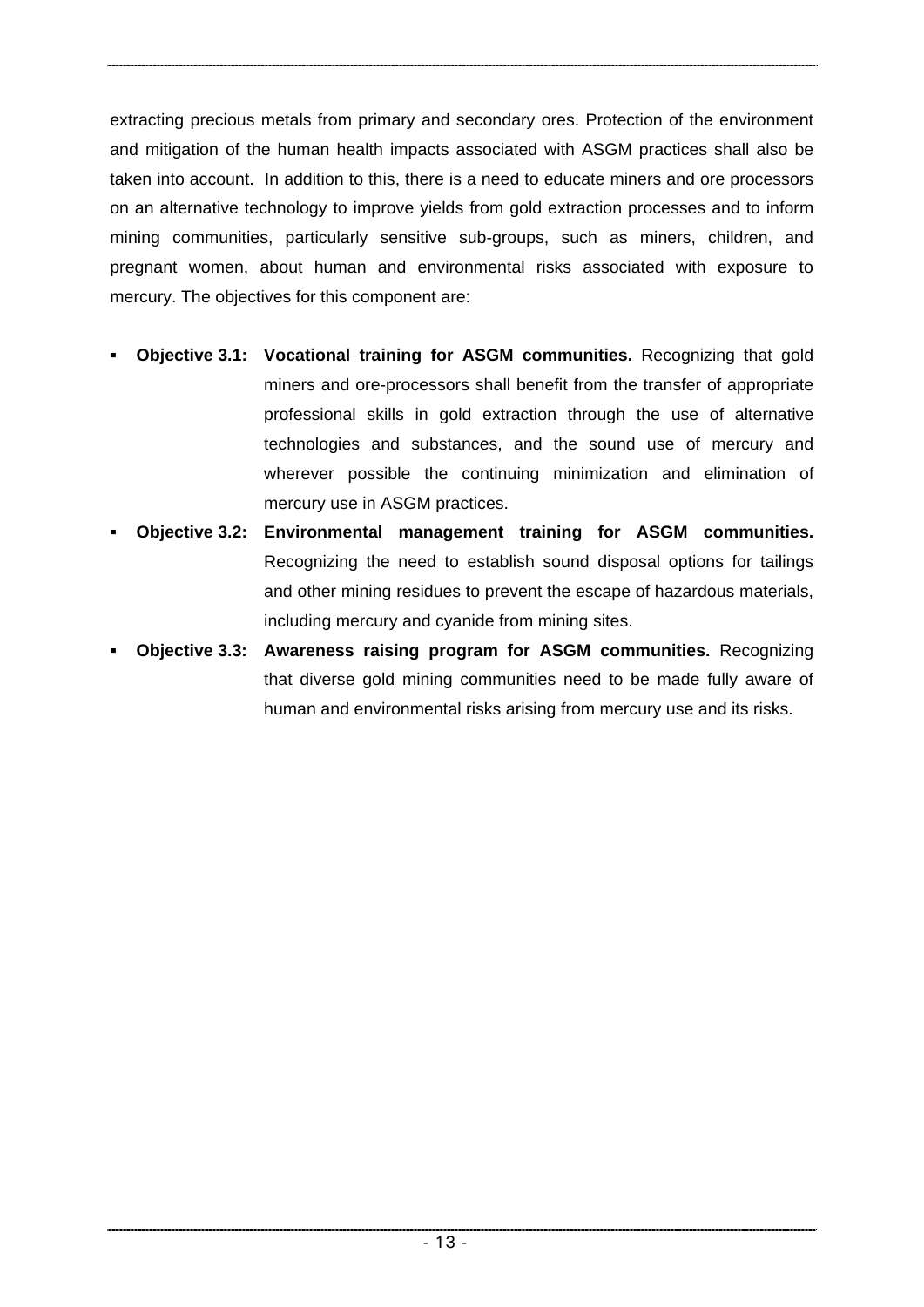extracting precious metals from primary and secondary ores. Protection of the environment and mitigation of the human health impacts associated with ASGM practices shall also be taken into account. In addition to this, there is a need to educate miners and ore processors on an alternative technology to improve yields from gold extraction processes and to inform mining communities, particularly sensitive sub-groups, such as miners, children, and pregnant women, about human and environmental risks associated with exposure to mercury. The objectives for this component are:

- **Objective 3.1: Vocational training for ASGM communities.** Recognizing that gold miners and ore-processors shall benefit from the transfer of appropriate professional skills in gold extraction through the use of alternative technologies and substances, and the sound use of mercury and wherever possible the continuing minimization and elimination of mercury use in ASGM practices.
- **Objective 3.2: Environmental management training for ASGM communities.**  Recognizing the need to establish sound disposal options for tailings and other mining residues to prevent the escape of hazardous materials, including mercury and cyanide from mining sites.
- **Objective 3.3: Awareness raising program for ASGM communities.** Recognizing that diverse gold mining communities need to be made fully aware of human and environmental risks arising from mercury use and its risks.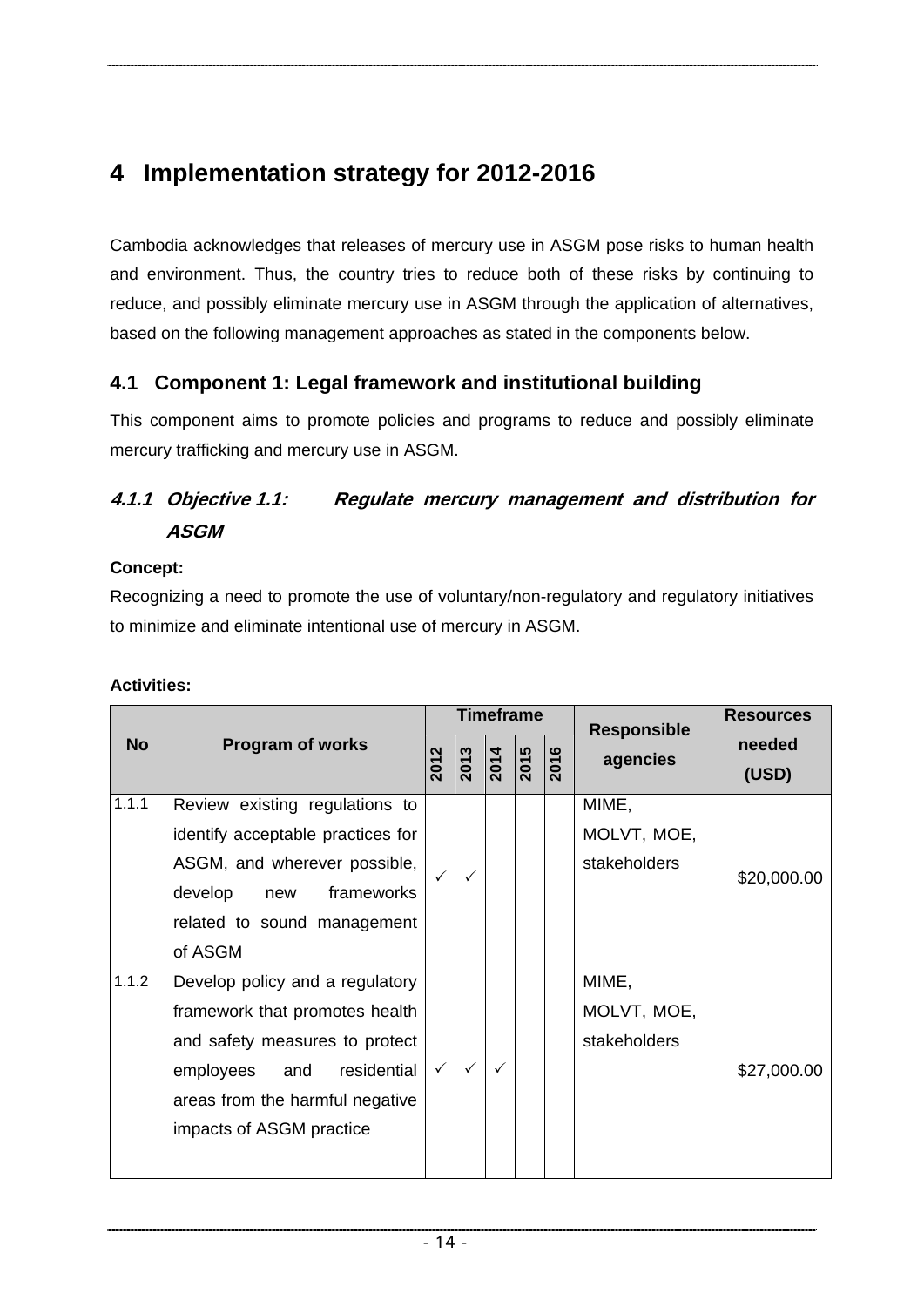# <span id="page-19-0"></span>**4 Implementation strategy for 2012-2016**

Cambodia acknowledges that releases of mercury use in ASGM pose risks to human health and environment. Thus, the country tries to reduce both of these risks by continuing to reduce, and possibly eliminate mercury use in ASGM through the application of alternatives, based on the following management approaches as stated in the components below.

# **4.1 Component 1: Legal framework and institutional building**

This component aims to promote policies and programs to reduce and possibly eliminate mercury trafficking and mercury use in ASGM.

# **4.1.1 Objective 1.1: Regulate mercury management and distribution for ASGM**

#### **Concept:**

Recognizing a need to promote the use of voluntary/non-regulatory and regulatory initiatives to minimize and eliminate intentional use of mercury in ASGM.

|           |                                                                                                                                                                                                       | <b>Timeframe</b>         |                   |                  |      |          | <b>Responsible</b>                   | <b>Resources</b> |
|-----------|-------------------------------------------------------------------------------------------------------------------------------------------------------------------------------------------------------|--------------------------|-------------------|------------------|------|----------|--------------------------------------|------------------|
| <b>No</b> | <b>Program of works</b>                                                                                                                                                                               | $\mathbf{\Omega}$<br>201 | $\overline{2013}$ | $\frac{2014}{ }$ | 2015 | ဖ<br>201 | agencies                             | needed<br>(USD)  |
| 1.1.1     | Review existing regulations to<br>identify acceptable practices for<br>ASGM, and wherever possible,<br>develop<br>frameworks<br>new<br>related to sound management<br>of ASGM                         |                          | ✓                 |                  |      |          | MIME,<br>MOLVT, MOE,<br>stakeholders | \$20,000.00      |
| 1.1.2     | Develop policy and a regulatory<br>framework that promotes health<br>and safety measures to protect<br>residential<br>employees<br>and<br>areas from the harmful negative<br>impacts of ASGM practice | $\checkmark$             | $\checkmark$      | ✓                |      |          | MIME,<br>MOLVT, MOE,<br>stakeholders | \$27,000.00      |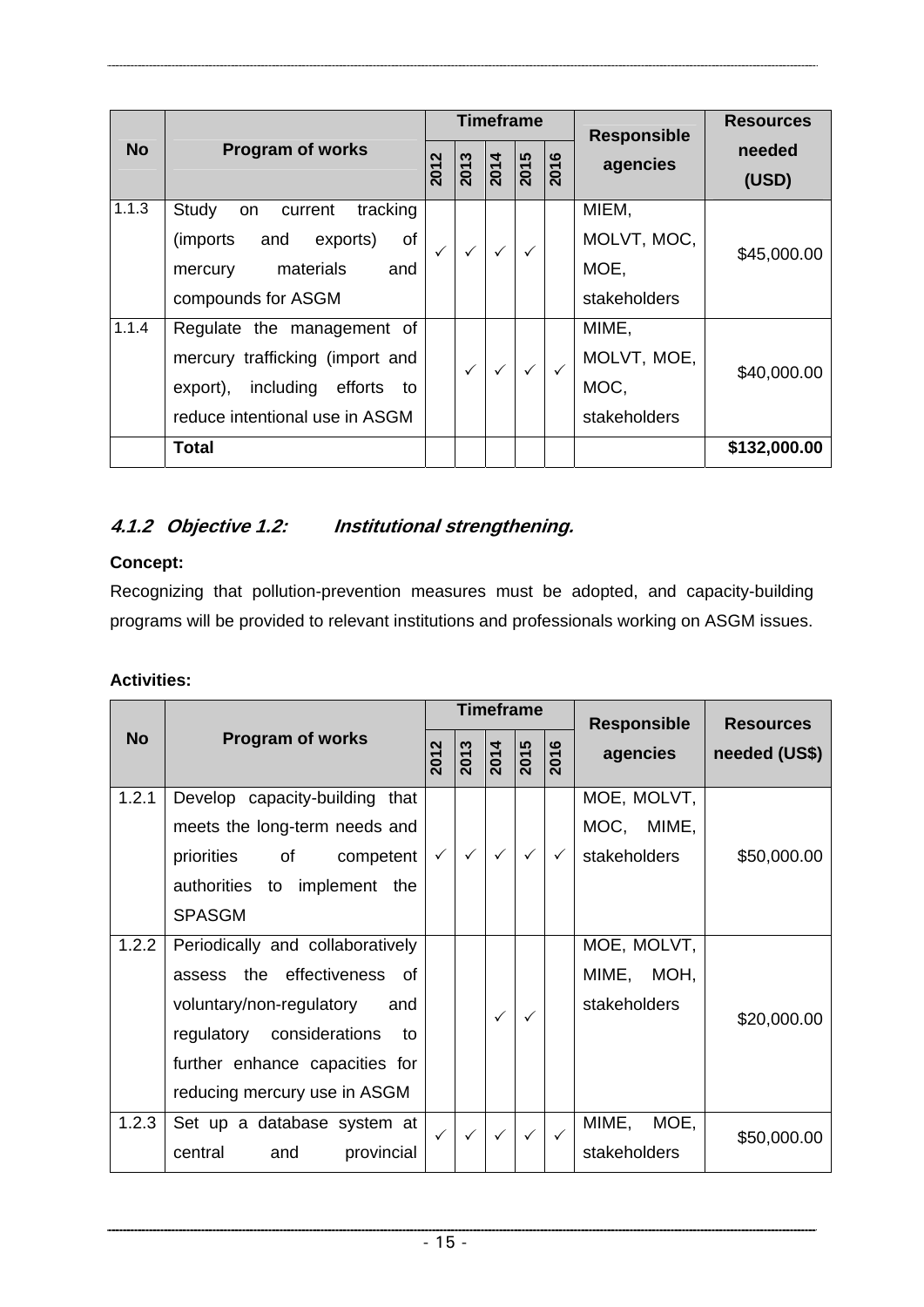|           |                                     |              |          | <b>Timeframe</b> |                  |              | <b>Responsible</b> | <b>Resources</b> |
|-----------|-------------------------------------|--------------|----------|------------------|------------------|--------------|--------------------|------------------|
| <b>No</b> | <b>Program of works</b>             |              | ო<br>201 | $\frac{2014}{ }$ | $\frac{2015}{5}$ | ဖ<br>201     | agencies           | needed<br>(USD)  |
| 1.1.3     | Study<br>tracking<br>current<br>on  |              |          |                  |                  |              | MIEM,              |                  |
|           | (imports)<br>οf<br>exports)<br>and  | $\checkmark$ |          | $\checkmark$     | $\checkmark$     |              | MOLVT, MOC,        | \$45,000.00      |
|           | materials<br>and<br>mercury         |              |          |                  |                  |              | MOE,               |                  |
|           | compounds for ASGM                  |              |          |                  |                  |              | stakeholders       |                  |
| 1.1.4     | Regulate the management of          |              |          |                  |                  |              | MIME,              |                  |
|           | mercury trafficking (import and     |              |          |                  | $\checkmark$     | $\checkmark$ | MOLVT, MOE,        | \$40,000.00      |
|           | including efforts<br>export),<br>to |              |          |                  |                  |              | MOC,               |                  |
|           | reduce intentional use in ASGM      |              |          |                  |                  |              | stakeholders       |                  |
|           | Total                               |              |          |                  |                  |              |                    | \$132,000.00     |

# **4.1.2 Objective 1.2: Institutional strengthening.**

## **Concept:**

Recognizing that pollution-prevention measures must be adopted, and capacity-building programs will be provided to relevant institutions and professionals working on ASGM issues.

|           |                                  |                          |                   | <b>Timeframe</b>  |                   |              | <b>Responsible</b> | <b>Resources</b> |
|-----------|----------------------------------|--------------------------|-------------------|-------------------|-------------------|--------------|--------------------|------------------|
| <b>No</b> | <b>Program of works</b>          | $\mathbf{\Omega}$<br>201 | $\frac{2013}{20}$ | $\overline{2014}$ | $\frac{2015}{20}$ | 2016         | agencies           | needed (US\$)    |
| 1.2.1     | Develop capacity-building that   |                          |                   |                   |                   |              | MOE, MOLVT,        |                  |
|           | meets the long-term needs and    |                          |                   |                   |                   |              | MOC, MIME,         |                  |
|           | of<br>priorities<br>competent    | $\checkmark$             | $\checkmark$      | $\checkmark$      | $\checkmark$      | $\checkmark$ | stakeholders       | \$50,000.00      |
|           | authorities to implement the     |                          |                   |                   |                   |              |                    |                  |
|           | <b>SPASGM</b>                    |                          |                   |                   |                   |              |                    |                  |
| 1.2.2     | Periodically and collaboratively |                          |                   |                   |                   |              | MOE, MOLVT,        |                  |
|           | assess the effectiveness of      |                          |                   |                   |                   |              | MIME, MOH,         |                  |
|           | voluntary/non-regulatory<br>and  |                          |                   | ✓                 | ✓                 |              | stakeholders       |                  |
|           | regulatory considerations<br>to  |                          |                   |                   |                   |              |                    | \$20,000.00      |
|           | further enhance capacities for   |                          |                   |                   |                   |              |                    |                  |
|           | reducing mercury use in ASGM     |                          |                   |                   |                   |              |                    |                  |
| 1.2.3     | Set up a database system at      | $\checkmark$             |                   | $\checkmark$      | $\checkmark$      | $\checkmark$ | MIME,<br>MOE,      | \$50,000.00      |
|           | central<br>provincial<br>and     |                          |                   |                   |                   |              | stakeholders       |                  |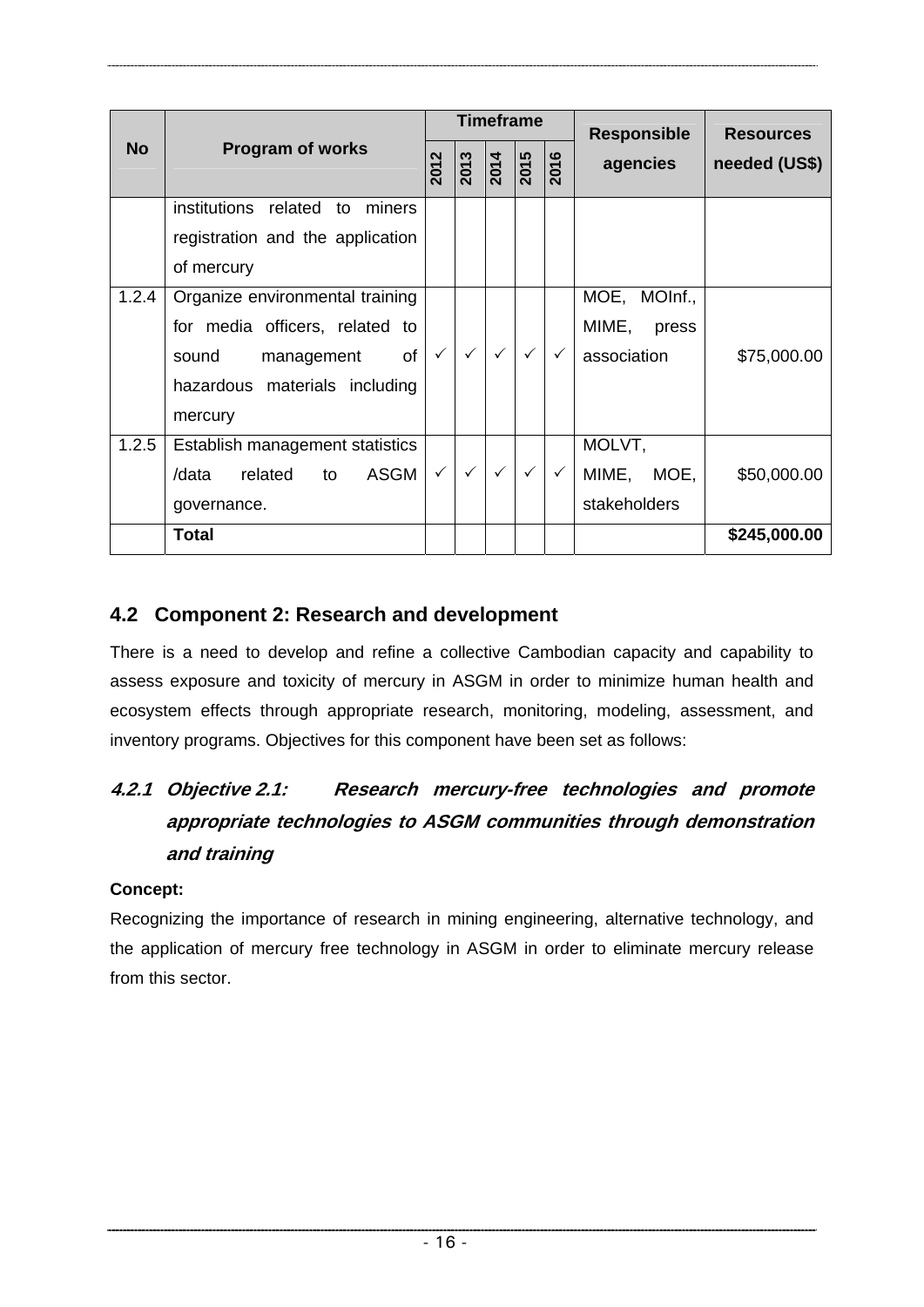<span id="page-21-0"></span>

|           |                                      |              |              | <b>Timeframe</b>  |                     |              | <b>Responsible</b> | <b>Resources</b> |
|-----------|--------------------------------------|--------------|--------------|-------------------|---------------------|--------------|--------------------|------------------|
| <b>No</b> | <b>Program of works</b>              | 2012         | 2013         | $\overline{2014}$ | $\frac{2015}{2016}$ |              | agencies           | needed (US\$)    |
|           | institutions related<br>miners<br>to |              |              |                   |                     |              |                    |                  |
|           | registration and the application     |              |              |                   |                     |              |                    |                  |
|           | of mercury                           |              |              |                   |                     |              |                    |                  |
| 1.2.4     | Organize environmental training      |              |              |                   |                     |              | MOE, MOInf.,       |                  |
|           | for media officers, related to       |              |              |                   |                     |              | MIME, press        |                  |
|           | of<br>sound<br>management            | $\checkmark$ | $\checkmark$ | $\checkmark$      | $\checkmark$        | $\checkmark$ | association        | \$75,000.00      |
|           | hazardous materials including        |              |              |                   |                     |              |                    |                  |
|           | mercury                              |              |              |                   |                     |              |                    |                  |
| 1.2.5     | Establish management statistics      |              |              |                   |                     |              | MOLVT,             |                  |
|           | ASGM<br>related<br>/data<br>to       | $\checkmark$ | $\checkmark$ | $\checkmark$      | $\checkmark$        | $\checkmark$ | MIME, MOE,         | \$50,000.00      |
|           | governance.                          |              |              |                   |                     |              | stakeholders       |                  |
|           | <b>Total</b>                         |              |              |                   |                     |              |                    | \$245,000.00     |

# **4.2 Component 2: Research and development**

There is a need to develop and refine a collective Cambodian capacity and capability to assess exposure and toxicity of mercury in ASGM in order to minimize human health and ecosystem effects through appropriate research, monitoring, modeling, assessment, and inventory programs. Objectives for this component have been set as follows:

# **4.2.1 Objective 2.1: Research mercury-free technologies and promote appropriate technologies to ASGM communities through demonstration and training**

#### **Concept:**

Recognizing the importance of research in mining engineering, alternative technology, and the application of mercury free technology in ASGM in order to eliminate mercury release from this sector.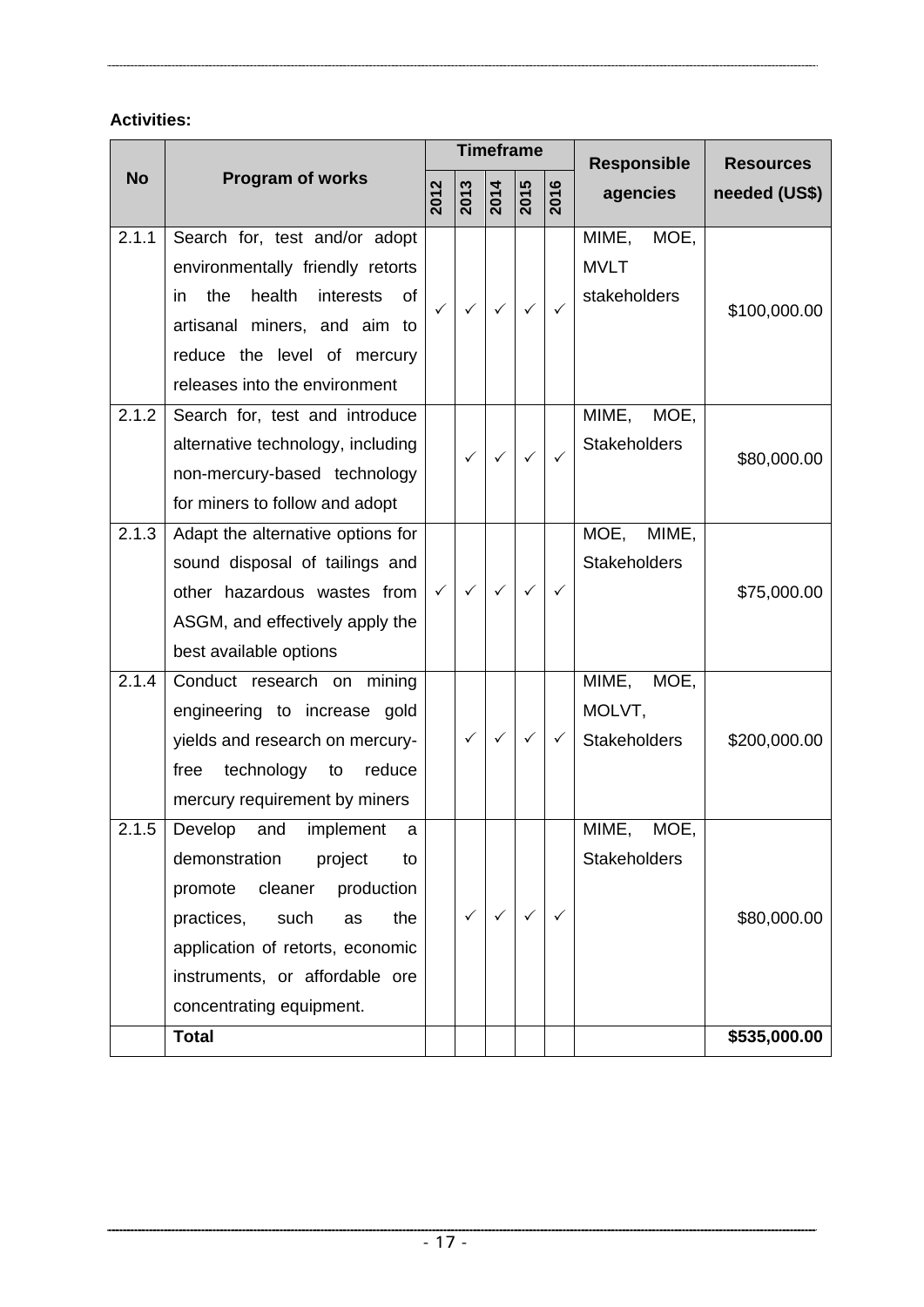|           |                                                                                                                                                                                                                                                    |      | <b>Timeframe</b>  |                   |                  |      | <b>Responsible</b>                             | <b>Resources</b> |
|-----------|----------------------------------------------------------------------------------------------------------------------------------------------------------------------------------------------------------------------------------------------------|------|-------------------|-------------------|------------------|------|------------------------------------------------|------------------|
| <b>No</b> | <b>Program of works</b>                                                                                                                                                                                                                            | 2012 | $\overline{2013}$ | $\overline{2014}$ | $\frac{2015}{5}$ | 2016 | agencies                                       | needed (US\$)    |
| 2.1.1     | Search for, test and/or adopt<br>environmentally friendly retorts<br>the<br>health<br>interests<br>0f<br>in.<br>artisanal miners, and aim to<br>reduce the level of mercury<br>releases into the environment                                       | ✓    | ✓                 | ✓                 | ✓                | ✓    | MIME, MOE,<br><b>MVLT</b><br>stakeholders      | \$100,000.00     |
| 2.1.2     | Search for, test and introduce<br>alternative technology, including<br>non-mercury-based technology<br>for miners to follow and adopt                                                                                                              |      | ✓                 | ✓                 | ✓                | ✓    | MIME, MOE,<br><b>Stakeholders</b>              | \$80,000.00      |
| 2.1.3     | Adapt the alternative options for<br>sound disposal of tailings and<br>other hazardous wastes from<br>ASGM, and effectively apply the<br>best available options                                                                                    | ✓    | $\checkmark$      | ✓                 | ✓                | ✓    | MOE,<br>MIME,<br><b>Stakeholders</b>           | \$75,000.00      |
| 2.1.4     | Conduct research on mining<br>engineering to increase gold<br>yields and research on mercury-<br>technology<br>reduce<br>free<br>to<br>mercury requirement by miners                                                                               |      | ✓                 | ✓                 | ✓                | ✓    | MIME,<br>MOE,<br>MOLVT,<br><b>Stakeholders</b> | \$200,000.00     |
| 2.1.5     | Develop<br>and<br>implement<br>a<br>demonstration<br>project<br>to<br>promote cleaner production<br>practices, such<br>the<br>as<br>application of retorts, economic<br>instruments, or affordable ore<br>concentrating equipment.<br><b>Total</b> |      | $\checkmark$      | $\checkmark$      | $\checkmark$     | ✓    | MOE,<br>MIME,<br><b>Stakeholders</b>           | \$80,000.00      |
|           |                                                                                                                                                                                                                                                    |      |                   |                   |                  |      |                                                | \$535,000.00     |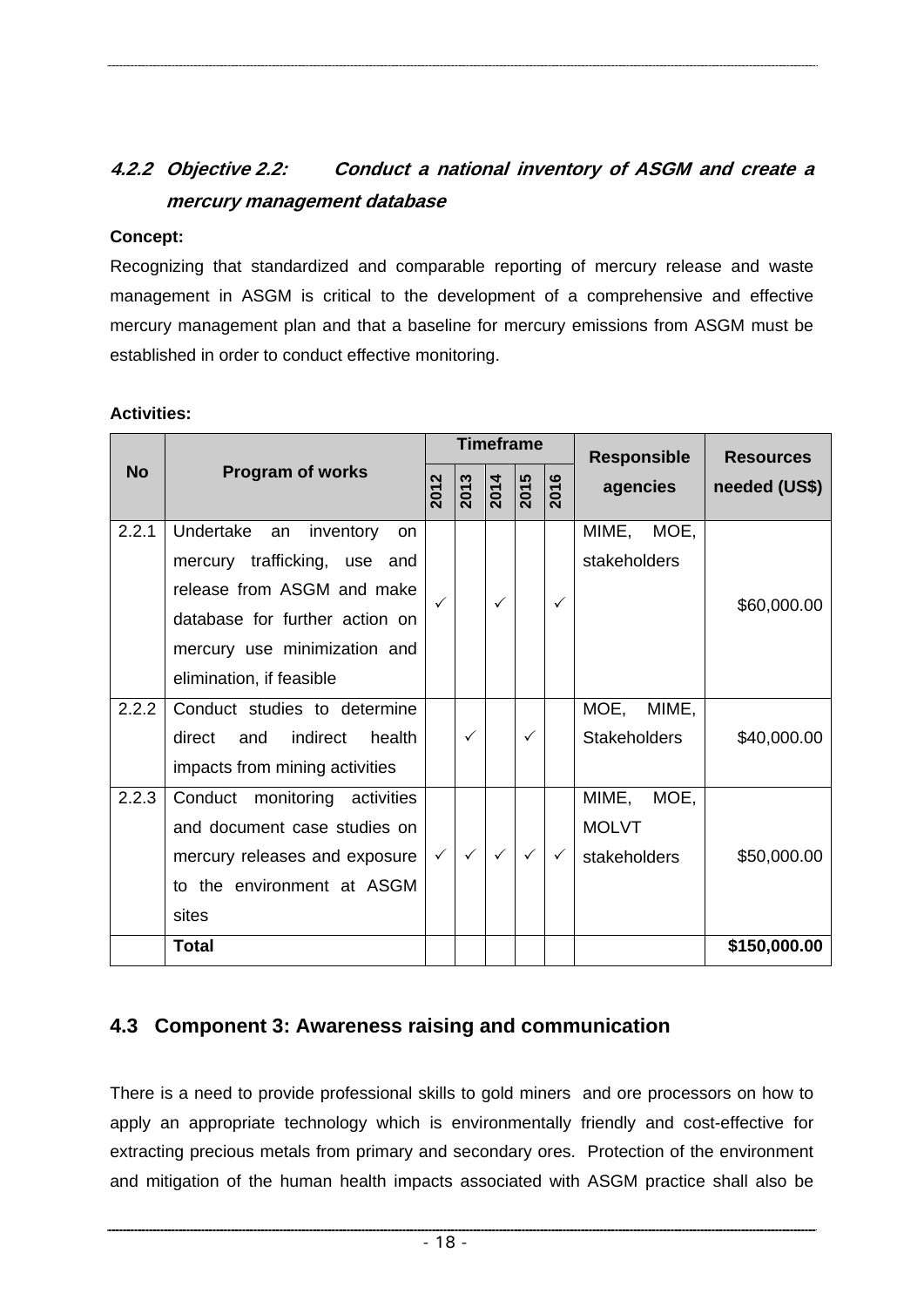# <span id="page-23-0"></span>**4.2.2 Objective 2.2: Conduct a national inventory of ASGM and create a mercury management database**

#### **Concept:**

Recognizing that standardized and comparable reporting of mercury release and waste management in ASGM is critical to the development of a comprehensive and effective mercury management plan and that a baseline for mercury emissions from ASGM must be established in order to conduct effective monitoring.

#### **Activities:**

|           |                                                                                                                                                                                                       |              |              |                  | <b>Timeframe</b> |              | <b>Responsible</b>                            | <b>Resources</b> |
|-----------|-------------------------------------------------------------------------------------------------------------------------------------------------------------------------------------------------------|--------------|--------------|------------------|------------------|--------------|-----------------------------------------------|------------------|
| <b>No</b> | <b>Program of works</b>                                                                                                                                                                               | 2012         | 2013         | $\frac{1}{2014}$ | $\frac{2015}{5}$ | ဖ<br>201     | agencies                                      | needed (US\$)    |
| 2.2.1     | Undertake<br>inventory<br>an<br><b>on</b><br>mercury trafficking, use and<br>release from ASGM and make<br>database for further action on<br>mercury use minimization and<br>elimination, if feasible |              |              | $\checkmark$     |                  | ✓            | MIME, MOE,<br>stakeholders                    | \$60,000.00      |
| 2.2.2     | Conduct studies to determine<br>indirect<br>health<br>direct<br>and<br>impacts from mining activities                                                                                                 |              | $\checkmark$ |                  | $\checkmark$     |              | MOE,<br>MIME,<br><b>Stakeholders</b>          | \$40,000.00      |
| 2.2.3     | Conduct monitoring activities<br>and document case studies on<br>mercury releases and exposure<br>to the environment at ASGM<br>sites                                                                 | $\checkmark$ | $\checkmark$ | $\checkmark$     | $\checkmark$     | $\checkmark$ | MIME,<br>MOE,<br><b>MOLVT</b><br>stakeholders | \$50,000.00      |
|           | <b>Total</b>                                                                                                                                                                                          |              |              |                  |                  |              |                                               | \$150,000.00     |

# **4.3 Component 3: Awareness raising and communication**

There is a need to provide professional skills to gold miners and ore processors on how to apply an appropriate technology which is environmentally friendly and cost-effective for extracting precious metals from primary and secondary ores. Protection of the environment and mitigation of the human health impacts associated with ASGM practice shall also be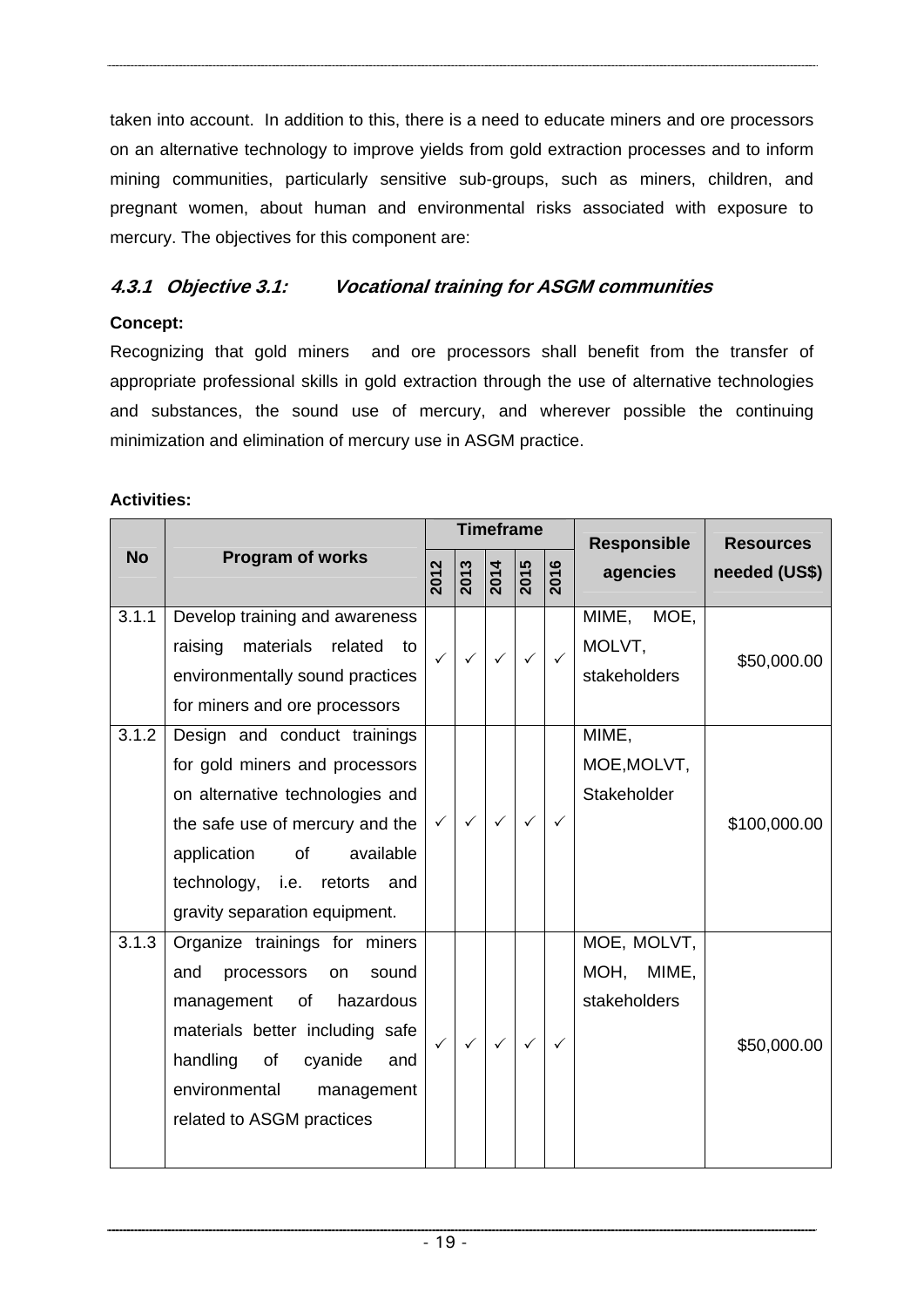taken into account. In addition to this, there is a need to educate miners and ore processors on an alternative technology to improve yields from gold extraction processes and to inform mining communities, particularly sensitive sub-groups, such as miners, children, and pregnant women, about human and environmental risks associated with exposure to mercury. The objectives for this component are:

# **4.3.1 Objective 3.1: Vocational training for ASGM communities**

#### **Concept:**

Recognizing that gold miners and ore processors shall benefit from the transfer of appropriate professional skills in gold extraction through the use of alternative technologies and substances, the sound use of mercury, and wherever possible the continuing minimization and elimination of mercury use in ASGM practice.

|           |                                                                                                                                                                                                                                           |              | <b>Timeframe</b> |                   |                   |              | <b>Responsible</b>                           | <b>Resources</b> |
|-----------|-------------------------------------------------------------------------------------------------------------------------------------------------------------------------------------------------------------------------------------------|--------------|------------------|-------------------|-------------------|--------------|----------------------------------------------|------------------|
| <b>No</b> | <b>Program of works</b>                                                                                                                                                                                                                   | 2012         | 2013             | $\overline{2014}$ | $\overline{2015}$ | 2016         | agencies                                     | needed (US\$)    |
| 3.1.1     | Develop training and awareness<br>raising<br>materials<br>related<br>to<br>environmentally sound practices<br>for miners and ore processors                                                                                               | $\checkmark$ | $\checkmark$     | $\checkmark$      | $\checkmark$      | $\checkmark$ | MIME, MOE,<br>MOLVT,<br>stakeholders         | \$50,000.00      |
| 3.1.2     | Design and conduct trainings<br>for gold miners and processors<br>on alternative technologies and<br>the safe use of mercury and the<br>available<br>of<br>application<br>technology, i.e. retorts and<br>gravity separation equipment.   | $\checkmark$ | $\checkmark$     | $\checkmark$      | $\checkmark$      | ✓            | MIME,<br>MOE, MOLVT,<br>Stakeholder          | \$100,000.00     |
| 3.1.3     | Organize trainings for miners<br>processors<br>and<br>sound<br><b>on</b><br>management<br>of<br>hazardous<br>materials better including safe<br>handling of<br>cyanide<br>and<br>environmental<br>management<br>related to ASGM practices | $\checkmark$ | $\checkmark$     | $\checkmark$      | $\checkmark$      | ✓            | MOE, MOLVT,<br>MIME,<br>MOH,<br>stakeholders | \$50,000.00      |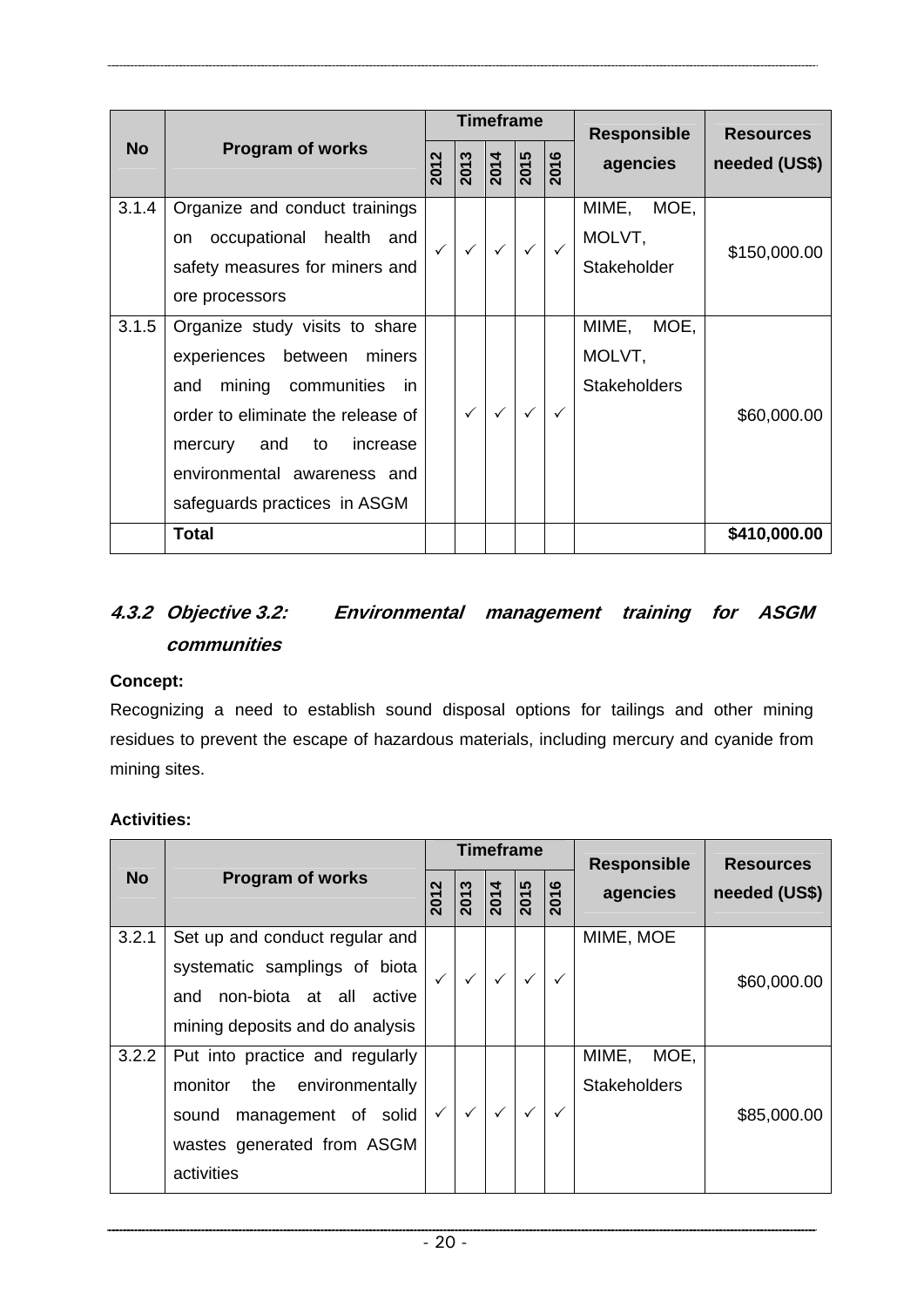|           |                                                                                                                                                                                                                                             |                          |                     | Timeframe    |                     |              | <b>Responsible</b>                             | <b>Resources</b> |
|-----------|---------------------------------------------------------------------------------------------------------------------------------------------------------------------------------------------------------------------------------------------|--------------------------|---------------------|--------------|---------------------|--------------|------------------------------------------------|------------------|
| <b>No</b> | <b>Program of works</b>                                                                                                                                                                                                                     | $\mathbf{\Omega}$<br>201 | $\frac{2013}{2014}$ |              | $\frac{2015}{2016}$ |              | agencies                                       | needed (US\$)    |
| 3.1.4     | Organize and conduct trainings<br>occupational health and<br>on<br>safety measures for miners and<br>ore processors                                                                                                                         | $\checkmark$             | $\checkmark$        | $\checkmark$ | $\checkmark$        | $\checkmark$ | MIME, MOE,<br>MOLVT,<br>Stakeholder            | \$150,000.00     |
| 3.1.5     | Organize study visits to share<br>experiences<br>between<br>miners<br>mining communities<br>and<br>in.<br>order to eliminate the release of<br>and<br>to increase<br>mercury<br>environmental awareness and<br>safeguards practices in ASGM |                          |                     |              | $\checkmark$        | $\checkmark$ | MIME,<br>MOE,<br>MOLVT,<br><b>Stakeholders</b> | \$60,000.00      |
|           | <b>Total</b>                                                                                                                                                                                                                                |                          |                     |              |                     |              |                                                | \$410,000.00     |

# **4.3.2 Objective 3.2: Environmental management training for ASGM communities**

#### **Concept:**

Recognizing a need to establish sound disposal options for tailings and other mining residues to prevent the escape of hazardous materials, including mercury and cyanide from mining sites.

|           | <b>Program of works</b>                                                                                                                    |                          |          | <b>Timeframe</b> |              |                       | <b>Responsible</b>                   | <b>Resources</b> |
|-----------|--------------------------------------------------------------------------------------------------------------------------------------------|--------------------------|----------|------------------|--------------|-----------------------|--------------------------------------|------------------|
| <b>No</b> |                                                                                                                                            | $\mathbf{\Omega}$<br>201 | ొ<br>201 | 2014             | 5<br>201     | ဖ<br>$\overline{201}$ | agencies                             | needed (US\$)    |
| 3.2.1     | Set up and conduct regular and<br>systematic samplings of biota<br>non-biota at all<br>and<br>active<br>mining deposits and do analysis    | $\checkmark$             |          |                  | $\checkmark$ |                       | MIME, MOE                            | \$60,000.00      |
| 3.2.2     | Put into practice and regularly<br>the environmentally<br>monitor<br>sound management of solid<br>wastes generated from ASGM<br>activities | $\checkmark$             |          |                  |              |                       | MIME,<br>MOE,<br><b>Stakeholders</b> | \$85,000.00      |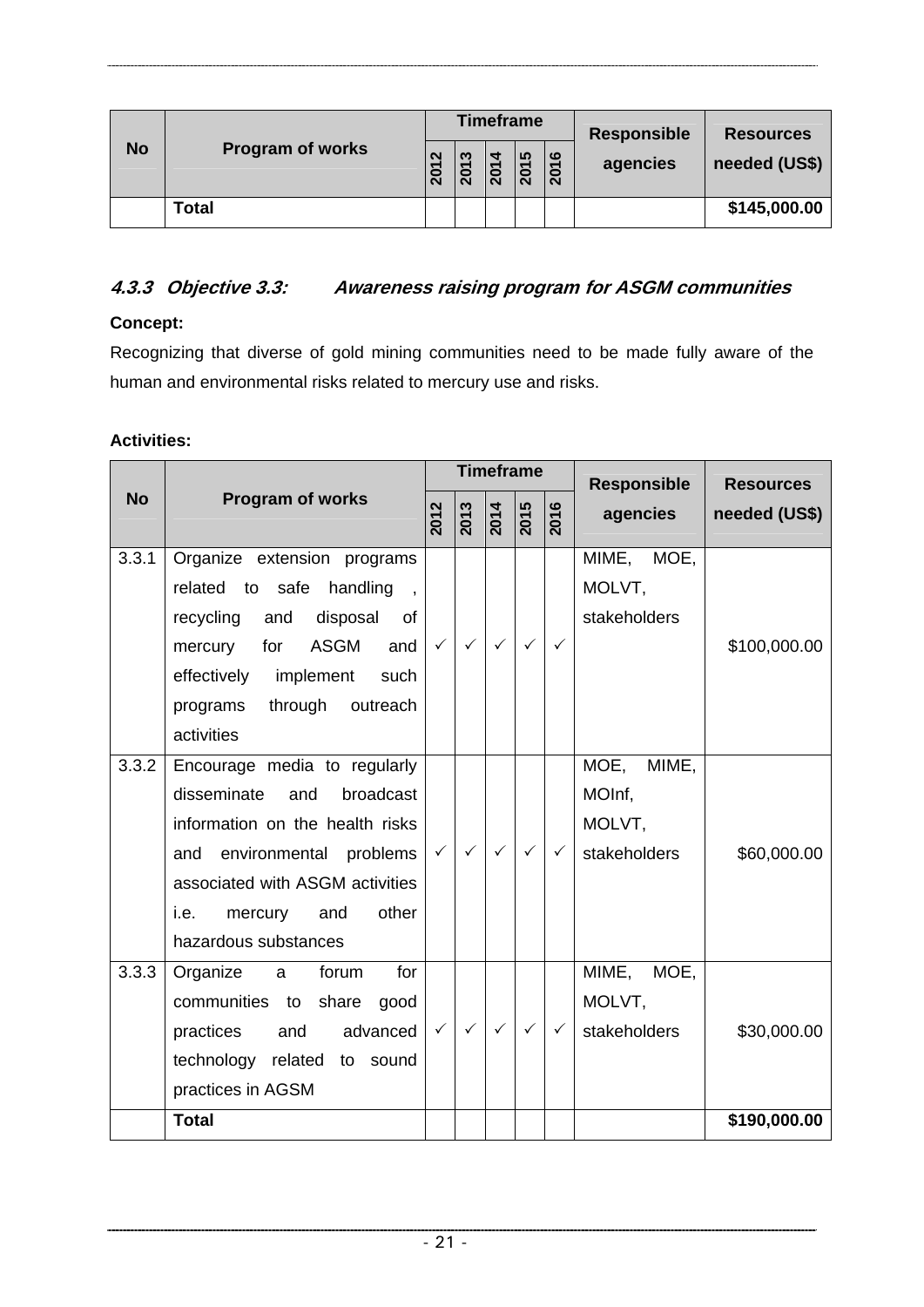|           | <b>Program of works</b> |      |        | <b>Timeframe</b> |      |      | <b>Responsible</b><br>agencies | <b>Resources</b><br>needed (US\$) |
|-----------|-------------------------|------|--------|------------------|------|------|--------------------------------|-----------------------------------|
| <b>No</b> |                         | 2012 | ო<br>0 | 201              | 2015 | 2016 |                                |                                   |
|           | Total                   |      |        |                  |      |      |                                | \$145,000.00                      |

#### **4.3.3 Objective 3.3: Awareness raising program for ASGM communities**

#### **Concept:**

Recognizing that diverse of gold mining communities need to be made fully aware of the human and environmental risks related to mercury use and risks.

|           | Program of works                              | <b>Timeframe</b> |              |                   |                  |              | <b>Responsible</b> | <b>Resources</b> |
|-----------|-----------------------------------------------|------------------|--------------|-------------------|------------------|--------------|--------------------|------------------|
| <b>No</b> |                                               | 2012             | 2013         | $\overline{2014}$ | $\frac{2015}{5}$ | 2016         | agencies           | needed (US\$)    |
| 3.3.1     | Organize extension programs                   |                  |              |                   |                  |              | MIME, MOE,         |                  |
|           | related to safe<br>handling<br>$\overline{1}$ |                  |              |                   |                  |              | MOLVT,             |                  |
|           | recycling<br>disposal<br>and<br>of            |                  |              |                   |                  |              | stakeholders       |                  |
|           | <b>ASGM</b><br>for<br>and<br>mercury          | $\checkmark$     | $\checkmark$ | $\checkmark$      | $\checkmark$     | ✓            |                    | \$100,000.00     |
|           | effectively implement<br>such                 |                  |              |                   |                  |              |                    |                  |
|           | through<br>programs<br>outreach               |                  |              |                   |                  |              |                    |                  |
|           | activities                                    |                  |              |                   |                  |              |                    |                  |
| 3.3.2     | Encourage media to regularly                  |                  |              |                   |                  |              | MOE,<br>MIME,      |                  |
|           | disseminate<br>and<br>broadcast               |                  |              |                   |                  |              | MOInf,             |                  |
|           | information on the health risks               |                  |              |                   |                  |              | MOLVT,             |                  |
|           | and environmental problems                    | $\checkmark$     | $\checkmark$ | $\checkmark$      | $\checkmark$     | ✓            | stakeholders       | \$60,000.00      |
|           | associated with ASGM activities               |                  |              |                   |                  |              |                    |                  |
|           | other<br>mercury<br>and<br>i.e.               |                  |              |                   |                  |              |                    |                  |
|           | hazardous substances                          |                  |              |                   |                  |              |                    |                  |
| 3.3.3     | Organize<br>for<br>forum<br>a                 |                  |              |                   |                  |              | MIME, MOE,         |                  |
|           | communities to<br>share<br>good               |                  |              |                   |                  |              | MOLVT,             |                  |
|           | practices<br>and<br>advanced                  | $\checkmark$     | $\checkmark$ | $\checkmark$      | $\checkmark$     | $\checkmark$ | stakeholders       | \$30,000.00      |
|           | technology related<br>to sound                |                  |              |                   |                  |              |                    |                  |
|           | practices in AGSM                             |                  |              |                   |                  |              |                    |                  |
|           | <b>Total</b>                                  |                  |              |                   |                  |              |                    | \$190,000.00     |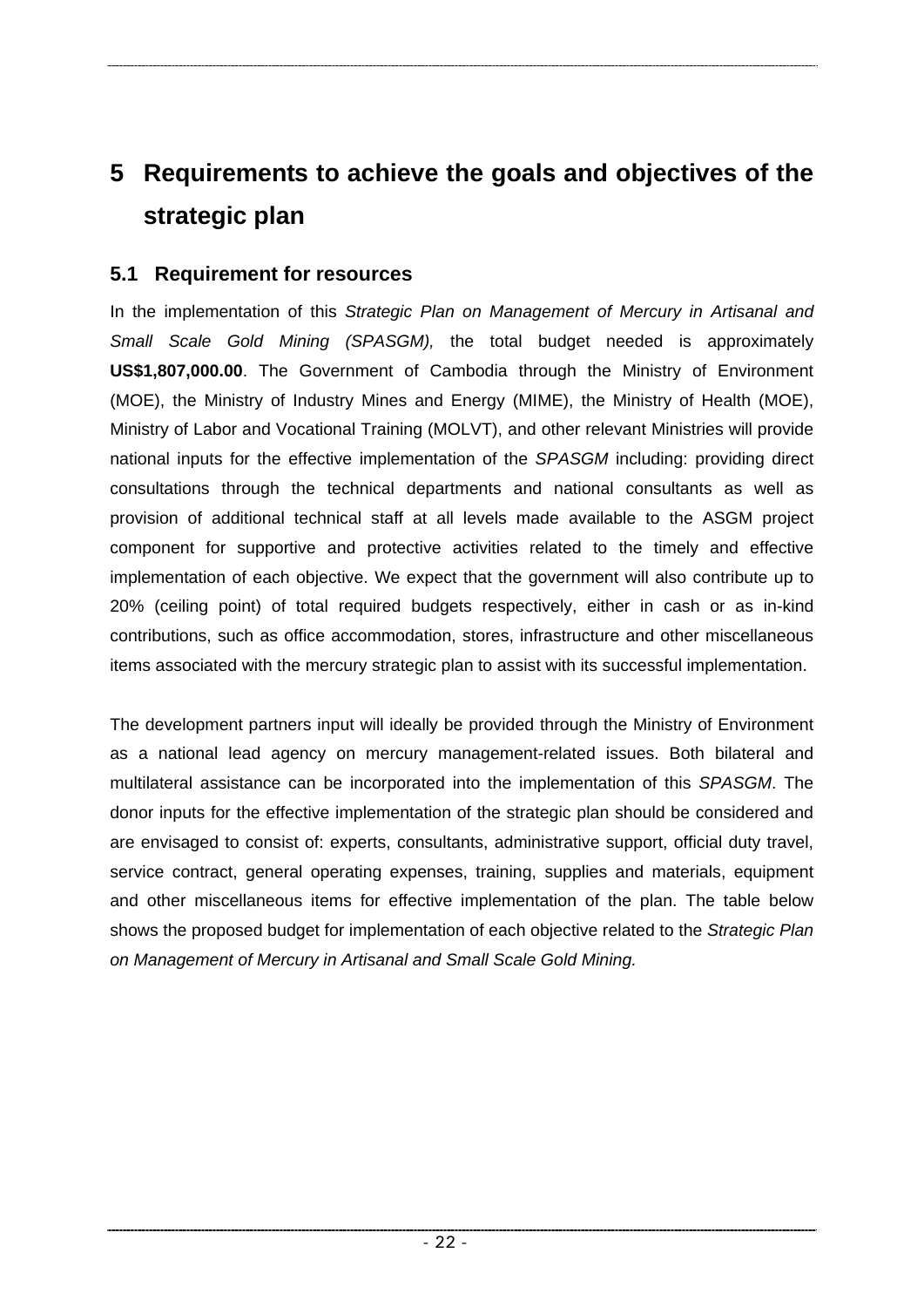# <span id="page-27-0"></span>**5 Requirements to achieve the goals and objectives of the strategic plan**

## **5.1 Requirement for resources**

In the implementation of this *Strategic Plan on Management of Mercury in Artisanal and Small Scale Gold Mining (SPASGM),* the total budget needed is approximately **US\$1,807,000.00**. The Government of Cambodia through the Ministry of Environment (MOE), the Ministry of Industry Mines and Energy (MIME), the Ministry of Health (MOE), Ministry of Labor and Vocational Training (MOLVT), and other relevant Ministries will provide national inputs for the effective implementation of the *SPASGM* including: providing direct consultations through the technical departments and national consultants as well as provision of additional technical staff at all levels made available to the ASGM project component for supportive and protective activities related to the timely and effective implementation of each objective. We expect that the government will also contribute up to 20% (ceiling point) of total required budgets respectively, either in cash or as in-kind contributions, such as office accommodation, stores, infrastructure and other miscellaneous items associated with the mercury strategic plan to assist with its successful implementation.

The development partners input will ideally be provided through the Ministry of Environment as a national lead agency on mercury management-related issues. Both bilateral and multilateral assistance can be incorporated into the implementation of this *SPASGM*. The donor inputs for the effective implementation of the strategic plan should be considered and are envisaged to consist of: experts, consultants, administrative support, official duty travel, service contract, general operating expenses, training, supplies and materials, equipment and other miscellaneous items for effective implementation of the plan. The table below shows the proposed budget for implementation of each objective related to the *Strategic Plan on Management of Mercury in Artisanal and Small Scale Gold Mining.*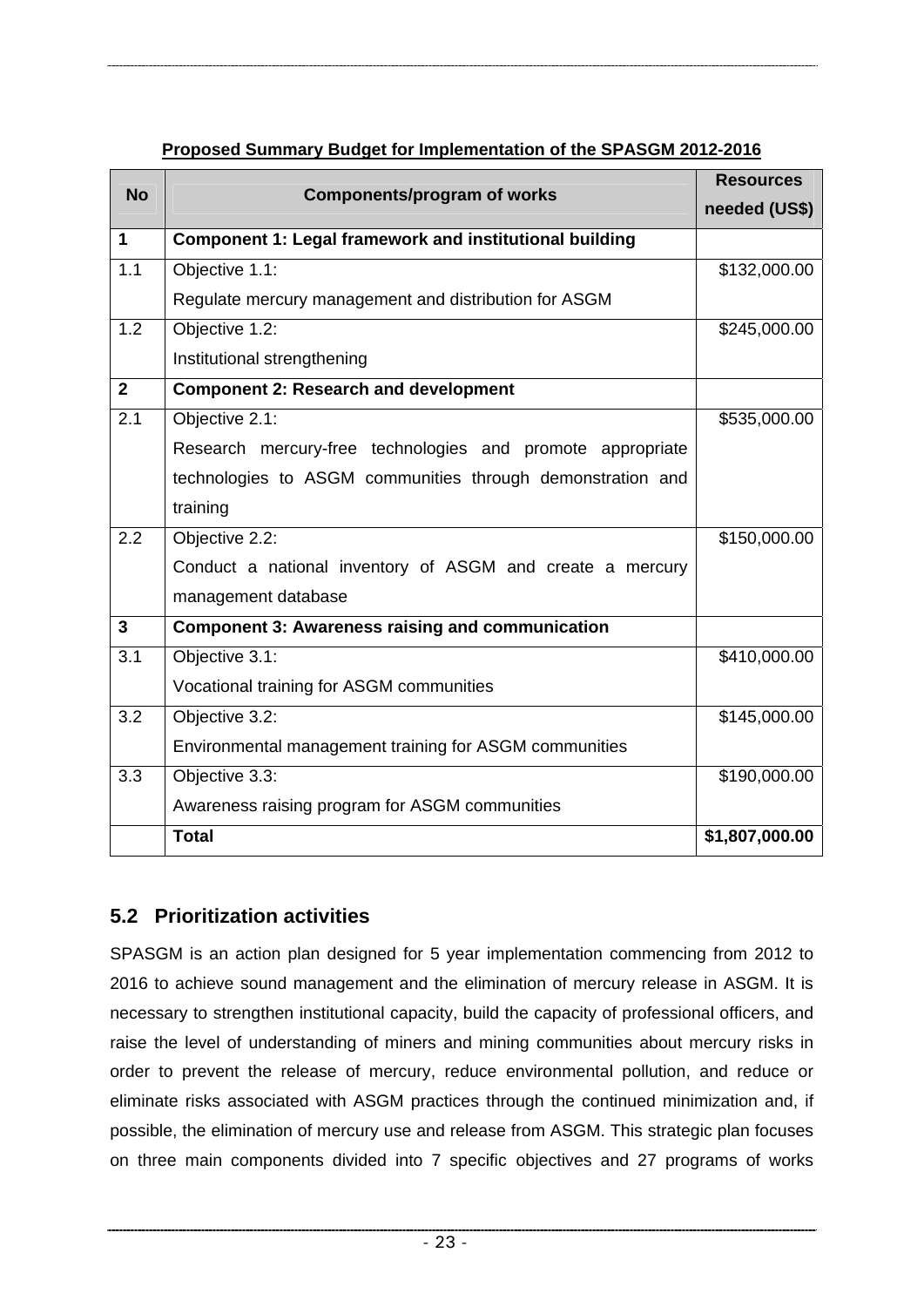<span id="page-28-0"></span>

| <b>No</b>      | <b>Components/program of works</b>                             | <b>Resources</b> |
|----------------|----------------------------------------------------------------|------------------|
|                |                                                                | needed (US\$)    |
| 1              | <b>Component 1: Legal framework and institutional building</b> |                  |
| 1.1            | Objective 1.1:                                                 | \$132,000.00     |
|                | Regulate mercury management and distribution for ASGM          |                  |
| 1.2            | Objective 1.2:                                                 | \$245,000.00     |
|                | Institutional strengthening                                    |                  |
| $\overline{2}$ | <b>Component 2: Research and development</b>                   |                  |
| 2.1            | Objective 2.1:                                                 | \$535,000.00     |
|                | Research mercury-free technologies and promote appropriate     |                  |
|                | technologies to ASGM communities through demonstration and     |                  |
|                | training                                                       |                  |
| 2.2            | Objective 2.2:                                                 | \$150,000.00     |
|                | Conduct a national inventory of ASGM and create a mercury      |                  |
|                | management database                                            |                  |
| 3              | <b>Component 3: Awareness raising and communication</b>        |                  |
| 3.1            | Objective 3.1:                                                 | \$410,000.00     |
|                | Vocational training for ASGM communities                       |                  |
| 3.2            | Objective 3.2:                                                 | \$145,000.00     |
|                | Environmental management training for ASGM communities         |                  |
| 3.3            | Objective 3.3:                                                 | \$190,000.00     |
|                | Awareness raising program for ASGM communities                 |                  |
|                | <b>Total</b>                                                   | \$1,807,000.00   |

#### **Proposed Summary Budget for Implementation of the SPASGM 2012-2016**

## **5.2 Prioritization activities**

SPASGM is an action plan designed for 5 year implementation commencing from 2012 to 2016 to achieve sound management and the elimination of mercury release in ASGM. It is necessary to strengthen institutional capacity, build the capacity of professional officers, and raise the level of understanding of miners and mining communities about mercury risks in order to prevent the release of mercury, reduce environmental pollution, and reduce or eliminate risks associated with ASGM practices through the continued minimization and, if possible, the elimination of mercury use and release from ASGM. This strategic plan focuses on three main components divided into 7 specific objectives and 27 programs of works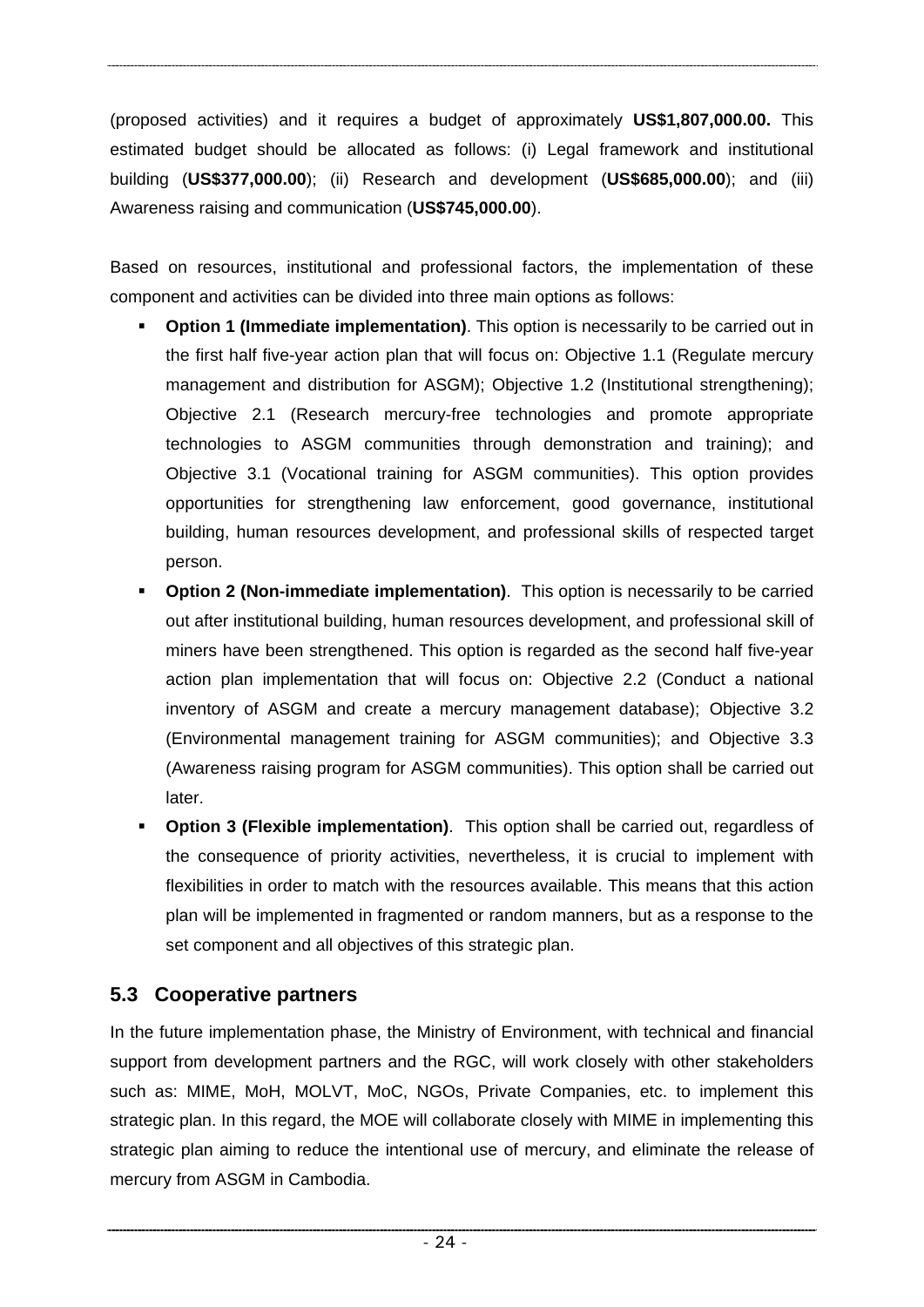<span id="page-29-0"></span>(proposed activities) and it requires a budget of approximately **US\$1,807,000.00.** This estimated budget should be allocated as follows: (i) Legal framework and institutional building (**US\$377,000.00**); (ii) Research and development (**US\$685,000.00**); and (iii) Awareness raising and communication (**US\$745,000.00**).

Based on resources, institutional and professional factors, the implementation of these component and activities can be divided into three main options as follows:

- **Option 1 (Immediate implementation)**. This option is necessarily to be carried out in the first half five-year action plan that will focus on: Objective 1.1 (Regulate mercury management and distribution for ASGM); Objective 1.2 (Institutional strengthening); Objective 2.1 (Research mercury-free technologies and promote appropriate technologies to ASGM communities through demonstration and training); and Objective 3.1 (Vocational training for ASGM communities). This option provides opportunities for strengthening law enforcement, good governance, institutional building, human resources development, and professional skills of respected target person.
- **Option 2 (Non-immediate implementation)**. This option is necessarily to be carried out after institutional building, human resources development, and professional skill of miners have been strengthened. This option is regarded as the second half five-year action plan implementation that will focus on: Objective 2.2 (Conduct a national inventory of ASGM and create a mercury management database); Objective 3.2 (Environmental management training for ASGM communities); and Objective 3.3 (Awareness raising program for ASGM communities). This option shall be carried out later.
- **Option 3 (Flexible implementation)**. This option shall be carried out, regardless of the consequence of priority activities, nevertheless, it is crucial to implement with flexibilities in order to match with the resources available. This means that this action plan will be implemented in fragmented or random manners, but as a response to the set component and all objectives of this strategic plan.

# **5.3 Cooperative partners**

In the future implementation phase, the Ministry of Environment, with technical and financial support from development partners and the RGC, will work closely with other stakeholders such as: MIME, MoH, MOLVT, MoC, NGOs, Private Companies, etc. to implement this strategic plan. In this regard, the MOE will collaborate closely with MIME in implementing this strategic plan aiming to reduce the intentional use of mercury, and eliminate the release of mercury from ASGM in Cambodia.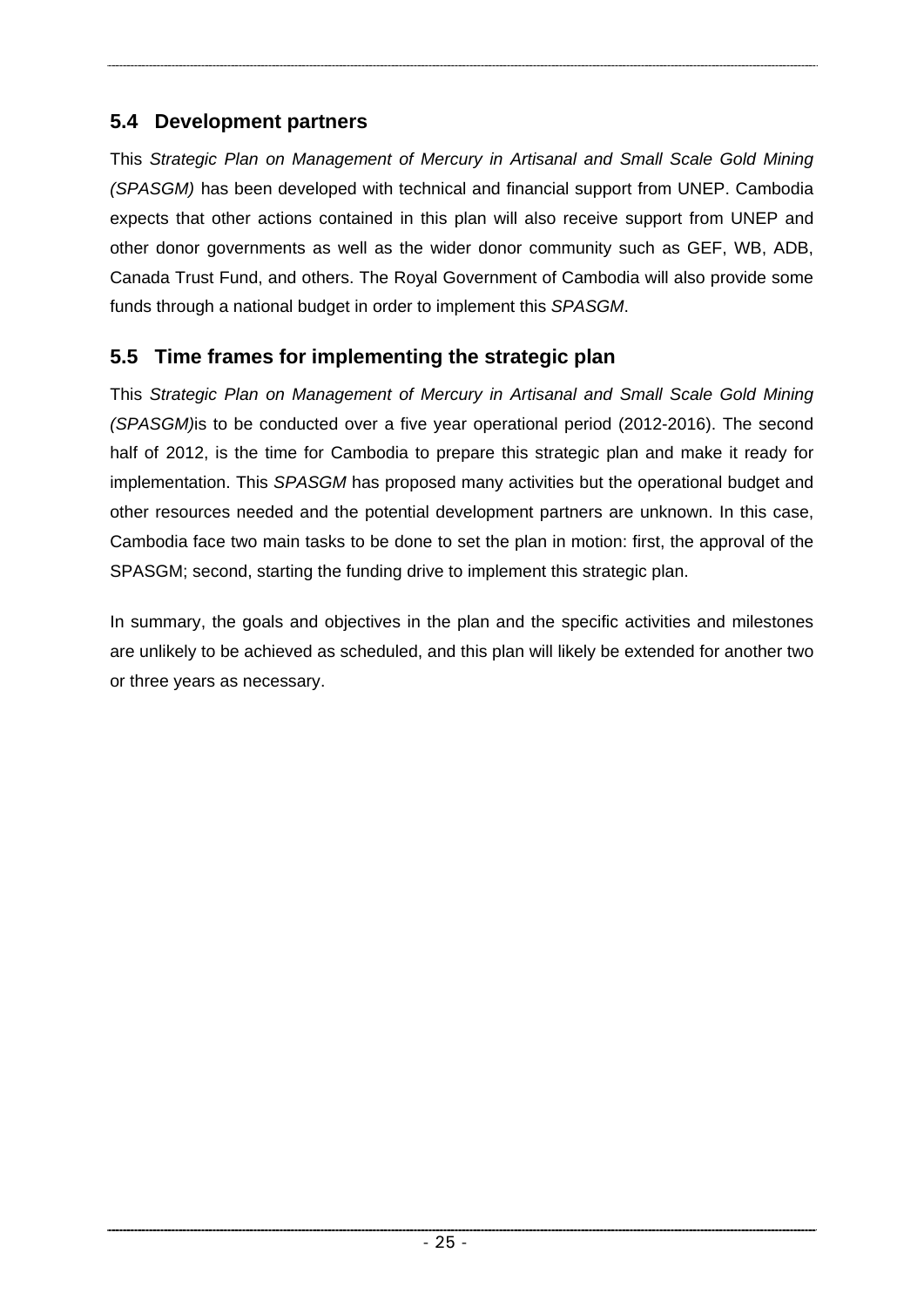# <span id="page-30-0"></span>**5.4 Development partners**

This *Strategic Plan on Management of Mercury in Artisanal and Small Scale Gold Mining (SPASGM)* has been developed with technical and financial support from UNEP. Cambodia expects that other actions contained in this plan will also receive support from UNEP and other donor governments as well as the wider donor community such as GEF, WB, ADB, Canada Trust Fund, and others. The Royal Government of Cambodia will also provide some funds through a national budget in order to implement this *SPASGM*.

# **5.5 Time frames for implementing the strategic plan**

This *Strategic Plan on Management of Mercury in Artisanal and Small Scale Gold Mining (SPASGM)*is to be conducted over a five year operational period (2012-2016). The second half of 2012, is the time for Cambodia to prepare this strategic plan and make it ready for implementation. This *SPASGM* has proposed many activities but the operational budget and other resources needed and the potential development partners are unknown. In this case, Cambodia face two main tasks to be done to set the plan in motion: first, the approval of the SPASGM; second, starting the funding drive to implement this strategic plan.

In summary, the goals and objectives in the plan and the specific activities and milestones are unlikely to be achieved as scheduled, and this plan will likely be extended for another two or three years as necessary.